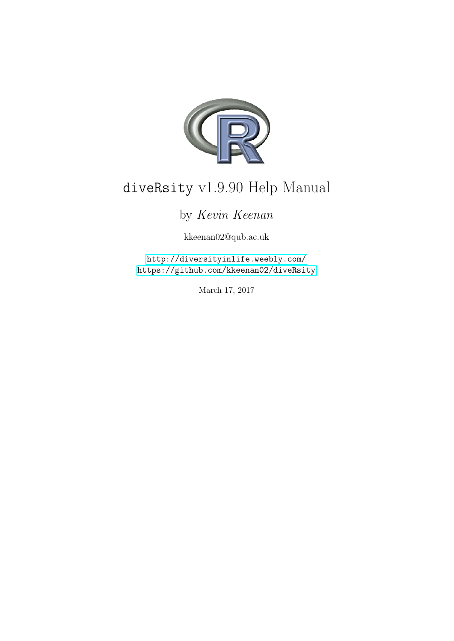

# diveRsity v1.9.90 Help Manual

# by Kevin Keenan

kkeenan02@qub.ac.uk

<http://diversityinlife.weebly.com/> <https://github.com/kkeenan02/diveRsity>

March 17, 2017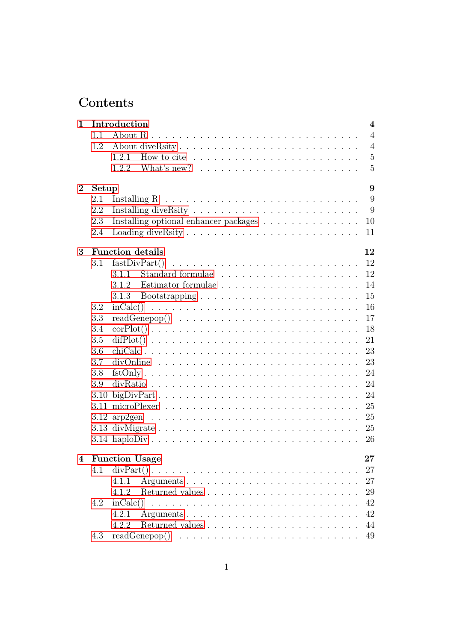# Contents

| 1              |       | Introduction<br>$\overline{4}$                                                                        |
|----------------|-------|-------------------------------------------------------------------------------------------------------|
|                | 1.1   | $\overline{4}$                                                                                        |
|                | 1.2   | $\overline{4}$                                                                                        |
|                |       | $\overline{5}$<br>How to cite $\dots \dots \dots \dots \dots \dots \dots \dots \dots \dots$<br>1.2.1  |
|                |       | $\overline{5}$<br>1.2.2                                                                               |
| $\overline{2}$ | Setup | 9                                                                                                     |
|                | 2.1   | 9                                                                                                     |
|                | 2.2   | 9                                                                                                     |
|                | 2.3   | 10<br>Installing optional enhancer packages                                                           |
|                | 2.4   | 11                                                                                                    |
|                |       |                                                                                                       |
| 3              |       | <b>Function details</b><br>12                                                                         |
|                | 3.1   | 12<br>fastDivPart()                                                                                   |
|                |       | 12<br>3.1.1                                                                                           |
|                |       | 14<br>3.1.2                                                                                           |
|                |       | 15                                                                                                    |
|                | 3.2   | 16                                                                                                    |
|                | 3.3   | 17                                                                                                    |
|                | 3.4   | 18<br>$corPlot() \ldots \ldots \ldots \ldots \ldots \ldots \ldots \ldots \ldots \ldots \ldots$        |
|                | 3.5   | 21<br>$diffPlot()$                                                                                    |
|                | 3.6   | 23                                                                                                    |
|                | 3.7   | 23<br>$divOnline \ldots \ldots \ldots \ldots \ldots \ldots \ldots \ldots \ldots \ldots$               |
|                | 3.8   | $fstOnly \ldots \ldots \ldots \ldots \ldots \ldots \ldots \ldots \ldots \ldots \ldots$<br>24          |
|                | 3.9   | 24                                                                                                    |
|                | 3.10  | $bigDivPart \ldots \ldots \ldots \ldots \ldots \ldots \ldots \ldots \ldots \ldots \ldots$<br>24       |
|                |       | 25                                                                                                    |
|                |       | 25                                                                                                    |
|                |       | 25<br>3.13 divMigrate                                                                                 |
|                |       | 26                                                                                                    |
| 4              |       | 27<br><b>Function Usage</b>                                                                           |
|                | 4.1   | $divPart() \ldots \ldots \ldots \ldots \ldots \ldots \ldots \ldots \ldots \ldots \ldots \ldots$<br>27 |
|                |       | 27<br>4.1.1                                                                                           |
|                |       | 29<br>4.1.2                                                                                           |
|                | 4.2   | 42                                                                                                    |
|                |       | 4.2.1<br>42                                                                                           |
|                |       | 4.2.2<br>44                                                                                           |
|                | 4.3   | 49                                                                                                    |
|                |       |                                                                                                       |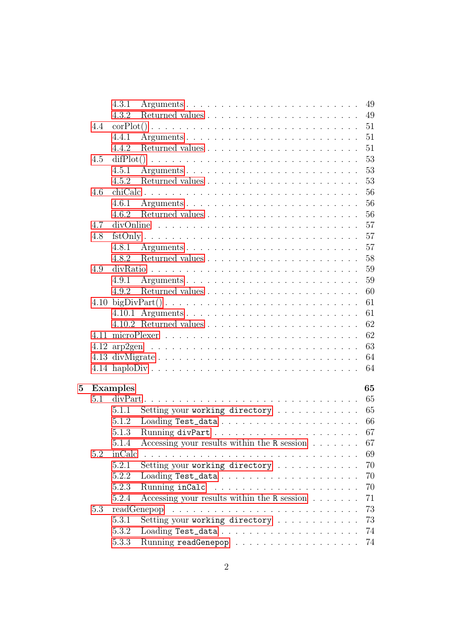|   |     | 4.3.1           |                                                                                                                                       |  |  |  | 49     |
|---|-----|-----------------|---------------------------------------------------------------------------------------------------------------------------------------|--|--|--|--------|
|   |     | 4.3.2           |                                                                                                                                       |  |  |  | 49     |
|   | 4.4 |                 | $corPlot() \ldots \ldots \ldots \ldots \ldots \ldots \ldots \ldots \ldots \ldots$                                                     |  |  |  | 51     |
|   |     | 4.4.1           |                                                                                                                                       |  |  |  | 51     |
|   |     | 4.4.2           |                                                                                                                                       |  |  |  | 51     |
|   | 4.5 |                 |                                                                                                                                       |  |  |  | 53     |
|   |     | 4.5.1           |                                                                                                                                       |  |  |  | 53     |
|   |     | 4.5.2           |                                                                                                                                       |  |  |  | 53     |
|   | 4.6 |                 |                                                                                                                                       |  |  |  | 56     |
|   |     | 4.6.1           |                                                                                                                                       |  |  |  | 56     |
|   |     | 4.6.2           |                                                                                                                                       |  |  |  | 56     |
|   | 4.7 |                 | $divOnline \ldots \ldots \ldots \ldots \ldots \ldots \ldots \ldots \ldots \ldots$                                                     |  |  |  | 57     |
|   | 4.8 |                 |                                                                                                                                       |  |  |  | 57     |
|   |     | 4.8.1           |                                                                                                                                       |  |  |  | 57     |
|   |     | 4.8.2           |                                                                                                                                       |  |  |  | 58     |
|   | 4.9 |                 |                                                                                                                                       |  |  |  | 59     |
|   |     | 4.9.1           |                                                                                                                                       |  |  |  | 59     |
|   |     |                 |                                                                                                                                       |  |  |  | 60     |
|   |     |                 |                                                                                                                                       |  |  |  | 61     |
|   |     |                 |                                                                                                                                       |  |  |  | 61     |
|   |     |                 |                                                                                                                                       |  |  |  | 62     |
|   |     |                 |                                                                                                                                       |  |  |  | 62     |
|   |     |                 |                                                                                                                                       |  |  |  | 63     |
|   |     |                 | 4.13 divMigrate                                                                                                                       |  |  |  | 64     |
|   |     |                 |                                                                                                                                       |  |  |  | 64     |
|   |     |                 |                                                                                                                                       |  |  |  |        |
| 5 |     | <b>Examples</b> |                                                                                                                                       |  |  |  | 65     |
|   | 5.1 |                 | $divPart \ldots \ldots \ldots \ldots \ldots \ldots \ldots \ldots \ldots \ldots \ldots \ldots$                                         |  |  |  | 65     |
|   |     | 5.1.1           | Setting your working directory                                                                                                        |  |  |  | 65     |
|   |     | 5.1.2           |                                                                                                                                       |  |  |  | 66     |
|   |     | 5.1.3           |                                                                                                                                       |  |  |  | 67     |
|   |     |                 | 5.1.4 Accessing your results within the R session                                                                                     |  |  |  | $67\,$ |
|   | 5.2 | inCalc          |                                                                                                                                       |  |  |  | 69     |
|   |     | 5.2.1           | Setting your working directory                                                                                                        |  |  |  | 70     |
|   |     | 5.2.2           |                                                                                                                                       |  |  |  | 70     |
|   |     | 5.2.3           |                                                                                                                                       |  |  |  | 70     |
|   |     | 5.2.4           | Accessing your results within the R session                                                                                           |  |  |  | 71     |
|   | 5.3 |                 | readGenepop<br><u>. A series a la característica a la característica a la característica a la característica a la característica </u> |  |  |  | 73     |
|   |     | 5.3.1           | Setting your working directory                                                                                                        |  |  |  | 73     |
|   |     | 5.3.2           |                                                                                                                                       |  |  |  | 74     |
|   |     | 5.3.3           |                                                                                                                                       |  |  |  | 74     |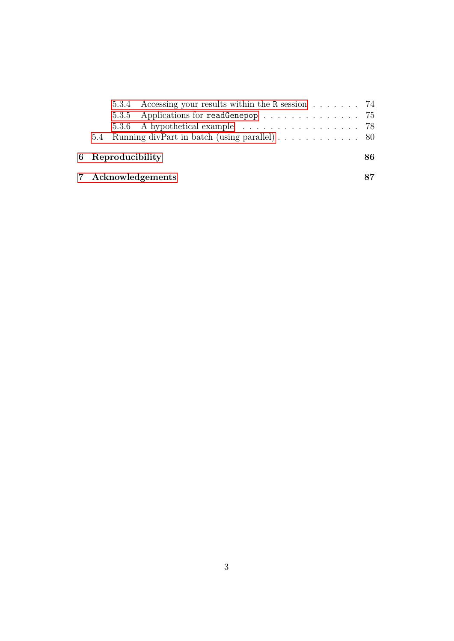|                   | 5.3.4 Accessing your results within the R session 74 |  |  |  |  |
|-------------------|------------------------------------------------------|--|--|--|--|
|                   | 5.3.5 Applications for readGenepop 75                |  |  |  |  |
|                   | 5.3.6 A hypothetical example 78                      |  |  |  |  |
|                   |                                                      |  |  |  |  |
| 6 Reproducibility |                                                      |  |  |  |  |
|                   | 7 Acknowledgements                                   |  |  |  |  |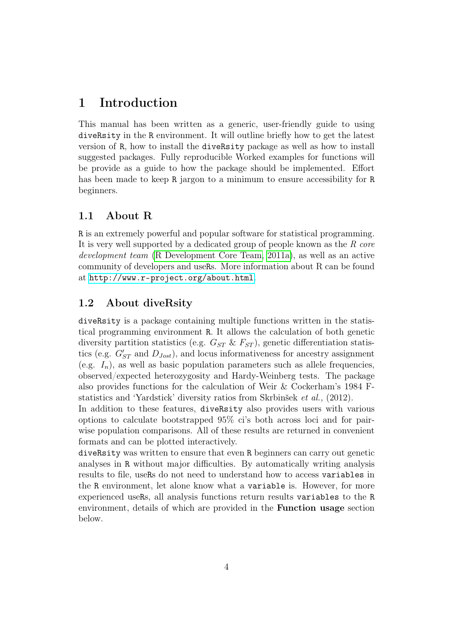# <span id="page-4-0"></span>1 Introduction

This manual has been written as a generic, user-friendly guide to using diveRsity in the R environment. It will outline briefly how to get the latest version of R, how to install the diveRsity package as well as how to install suggested packages. Fully reproducible Worked examples for functions will be provide as a guide to how the package should be implemented. Effort has been made to keep R jargon to a minimum to ensure accessibility for R beginners.

### <span id="page-4-1"></span>1.1 About R

R is an extremely powerful and popular software for statistical programming. It is very well supported by a dedicated group of people known as the *R core development team* [\(R Development Core Team, 2011a\)](#page-84-0), as well as an active community of developers and useRs. More information about R can be found at <http://www.r-project.org/about.html>.

### <span id="page-4-2"></span>1.2 About diveRsity

diveRsity is a package containing multiple functions written in the statistical programming environment R. It allows the calculation of both genetic diversity partition statistics (e.g.  $G_{ST} \& F_{ST}$ ), genetic differentiation statistics (e.g.  $G'_{ST}$  and  $D_{Jost}$ ), and locus informativeness for ancestry assignment (e.g.  $I_n$ ), as well as basic population parameters such as allele frequencies, observed/expected heterozygosity and Hardy-Weinberg tests. The package also provides functions for the calculation of Weir & Cockerham's 1984 Fstatistics and 'Yardstick' diversity ratios from Skrbinšek *et al.,* (2012).

In addition to these features, diveRsity also provides users with various options to calculate bootstrapped 95% ci's both across loci and for pairwise population comparisons. All of these results are returned in convenient formats and can be plotted interactively.

diveRsity was written to ensure that even R beginners can carry out genetic analyses in R without major difficulties. By automatically writing analysis results to file, useRs do not need to understand how to access variables in the R environment, let alone know what a variable is. However, for more experienced useRs, all analysis functions return results variables to the R environment, details of which are provided in the Function usage section below.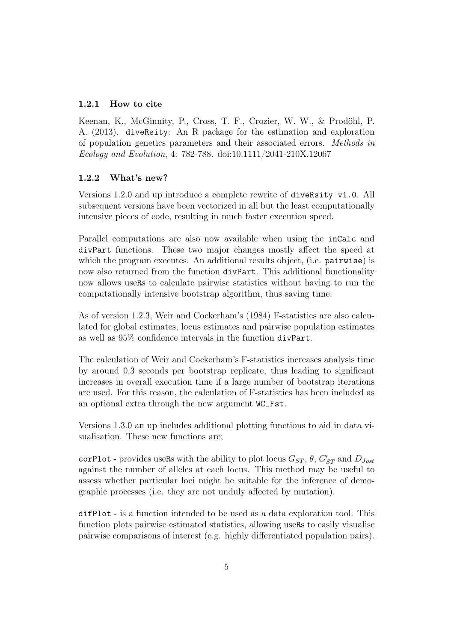### <span id="page-5-0"></span>1.2.1 How to cite

Keenan, K., McGinnity, P., Cross, T. F., Crozier, W. W., & Prodöhl, P. A. (2013). diveRsity: An R package for the estimation and exploration of population genetics parameters and their associated errors. *Methods in Ecology and Evolution*, 4: 782-788. doi:10.1111/2041-210X.12067

### <span id="page-5-1"></span>1.2.2 What's new?

Versions 1.2.0 and up introduce a complete rewrite of diveRsity v1.0. All subsequent versions have been vectorized in all but the least computationally intensive pieces of code, resulting in much faster execution speed.

Parallel computations are also now available when using the inCalc and divPart functions. These two major changes mostly affect the speed at which the program executes. An additional results object, (i.e. pairwise) is now also returned from the function divPart. This additional functionality now allows useRs to calculate pairwise statistics without having to run the computationally intensive bootstrap algorithm, thus saving time.

As of version 1.2.3, Weir and Cockerham's (1984) F-statistics are also calculated for global estimates, locus estimates and pairwise population estimates as well as 95% confidence intervals in the function divPart.

The calculation of Weir and Cockerham's F-statistics increases analysis time by around 0.3 seconds per bootstrap replicate, thus leading to significant increases in overall execution time if a large number of bootstrap iterations are used. For this reason, the calculation of F-statistics has been included as an optional extra through the new argument WC\_Fst.

Versions 1.3.0 an up includes additional plotting functions to aid in data visualisation. These new functions are;

corPlot - provides useRs with the ability to plot locus  $G_{ST}$ ,  $\theta$ ,  $G'_{ST}$  and  $D_{Jost}$ against the number of alleles at each locus. This method may be useful to assess whether particular loci might be suitable for the inference of demographic processes (i.e. they are not unduly affected by mutation).

difPlot - is a function intended to be used as a data exploration tool. This function plots pairwise estimated statistics, allowing useRs to easily visualise pairwise comparisons of interest (e.g. highly differentiated population pairs).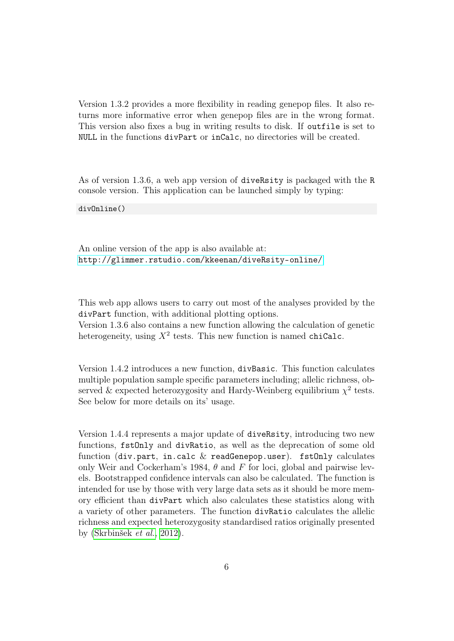Version 1.3.2 provides a more flexibility in reading genepop files. It also returns more informative error when genepop files are in the wrong format. This version also fixes a bug in writing results to disk. If outfile is set to NULL in the functions divPart or inCalc, no directories will be created.

As of version 1.3.6, a web app version of diveRsity is packaged with the R console version. This application can be launched simply by typing:

divOnline()

An online version of the app is also available at: <http://glimmer.rstudio.com/kkeenan/diveRsity-online/>

This web app allows users to carry out most of the analyses provided by the divPart function, with additional plotting options.

Version 1.3.6 also contains a new function allowing the calculation of genetic heterogeneity, using  $X^2$  tests. This new function is named chiCalc.

Version 1.4.2 introduces a new function, divBasic. This function calculates multiple population sample specific parameters including; allelic richness, observed & expected heterozygosity and Hardy-Weinberg equilibrium  $\chi^2$  tests. See below for more details on its' usage.

Version 1.4.4 represents a major update of diveRsity, introducing two new functions, fstOnly and divRatio, as well as the deprecation of some old function (div.part, in.calc  $&$  readGenepop.user). fstOnly calculates only Weir and Cockerham's 1984,  $\theta$  and F for loci, global and pairwise levels. Bootstrapped confidence intervals can also be calculated. The function is intended for use by those with very large data sets as it should be more memory efficient than divPart which also calculates these statistics along with a variety of other parameters. The function divRatio calculates the allelic richness and expected heterozygosity standardised ratios originally presented by [\(Skrbinšek](#page-85-0) *et al.*, [2012\)](#page-85-0).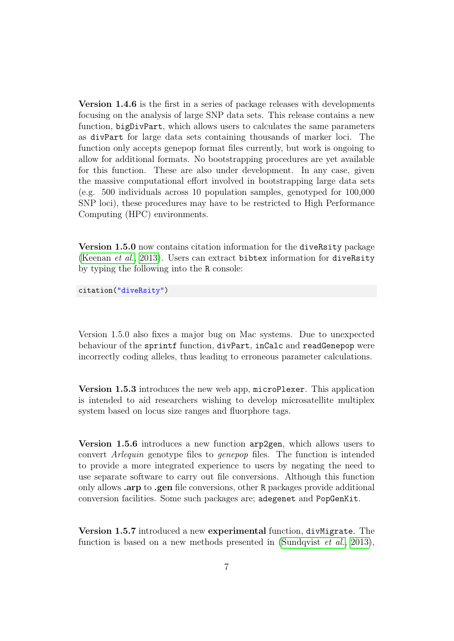Version 1.4.6 is the first in a series of package releases with developments focusing on the analysis of large SNP data sets. This release contains a new function, bigDivPart, which allows users to calculates the same parameters as divPart for large data sets containing thousands of marker loci. The function only accepts genepop format files currently, but work is ongoing to allow for additional formats. No bootstrapping procedures are yet available for this function. These are also under development. In any case, given the massive computational effort involved in bootstrapping large data sets (e.g. 500 individuals across 10 population samples, genotyped for 100,000 SNP loci), these procedures may have to be restricted to High Performance Computing (HPC) environments.

Version 1.5.0 now contains citation information for the diveRsity package [\(Keenan](#page-84-1) *et al.*, [2013\)](#page-84-1). Users can extract bibtex information for diveRsity by typing the following into the R console:

citation("diveRsity")

Version 1.5.0 also fixes a major bug on Mac systems. Due to unexpected behaviour of the sprintf function, divPart, inCalc and readGenepop were incorrectly coding alleles, thus leading to erroneous parameter calculations.

Version 1.5.3 introduces the new web app, microPlexer. This application is intended to aid researchers wishing to develop microsatellite multiplex system based on locus size ranges and fluorphore tags.

Version 1.5.6 introduces a new function arp2gen, which allows users to convert *Arlequin* genotype files to *genepop* files. The function is intended to provide a more integrated experience to users by negating the need to use separate software to carry out file conversions. Although this function only allows .arp to .gen file conversions, other R packages provide additional conversion facilities. Some such packages are; adegenet and PopGenKit.

Version 1.5.7 introduced a new experimental function, divMigrate. The function is based on a new methods presented in [\(Sundqvist](#page-85-1) *et al.*, [2013\)](#page-85-1),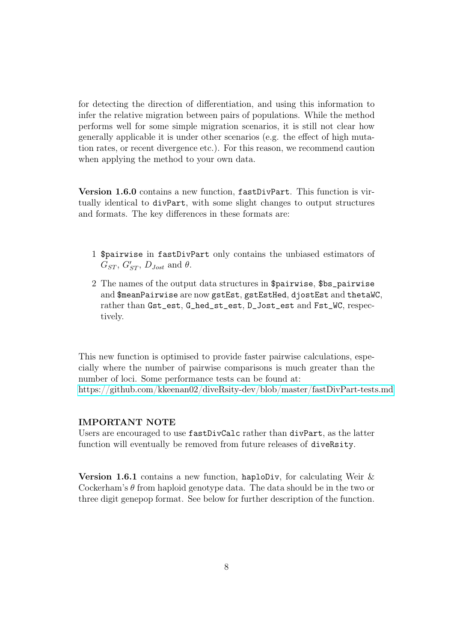for detecting the direction of differentiation, and using this information to infer the relative migration between pairs of populations. While the method performs well for some simple migration scenarios, it is still not clear how generally applicable it is under other scenarios (e.g. the effect of high mutation rates, or recent divergence etc.). For this reason, we recommend caution when applying the method to your own data.

Version 1.6.0 contains a new function, fastDivPart. This function is virtually identical to divPart, with some slight changes to output structures and formats. The key differences in these formats are:

- 1 \$pairwise in fastDivPart only contains the unbiased estimators of  $\overline{G}_{ST}, G'_{ST}, D_{Jost} \text{ and } \theta.$
- 2 The names of the output data structures in \$pairwise, \$bs\_pairwise and \$meanPairwise are now gstEst, gstEstHed, djostEst and thetaWC, rather than Gst\_est, G\_hed\_st\_est, D\_Jost\_est and Fst\_WC, respectively.

This new function is optimised to provide faster pairwise calculations, especially where the number of pairwise comparisons is much greater than the number of loci. Some performance tests can be found at: <https://github.com/kkeenan02/diveRsity-dev/blob/master/fastDivPart-tests.md>

#### IMPORTANT NOTE

Users are encouraged to use fastDivCalc rather than divPart, as the latter function will eventually be removed from future releases of diveRsity.

Version 1.6.1 contains a new function, haploDiv, for calculating Weir & Cockerham's  $\theta$  from haploid genotype data. The data should be in the two or three digit genepop format. See below for further description of the function.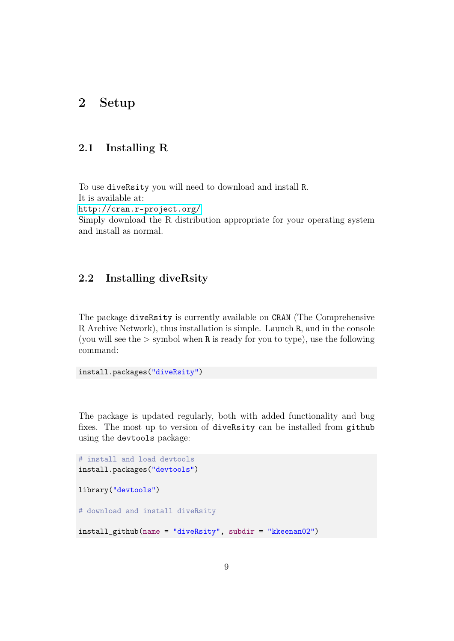# <span id="page-9-1"></span><span id="page-9-0"></span>2 Setup

## 2.1 Installing R

To use diveRsity you will need to download and install R. It is available at: <http://cran.r-project.org/> Simply download the R distribution appropriate for your operating system and install as normal.

# <span id="page-9-2"></span>2.2 Installing diveRsity

The package diveRsity is currently available on CRAN (The Comprehensive R Archive Network), thus installation is simple. Launch R, and in the console (you will see the  $>$  symbol when R is ready for you to type), use the following command:

```
install.packages("diveRsity")
```
The package is updated regularly, both with added functionality and bug fixes. The most up to version of diveRsity can be installed from github using the devtools package:

```
# install and load devtools
install.packages("devtools")
library("devtools")
# download and install diveRsity
install_github(name = "diveRsity", subdir = "kkeenan02")
```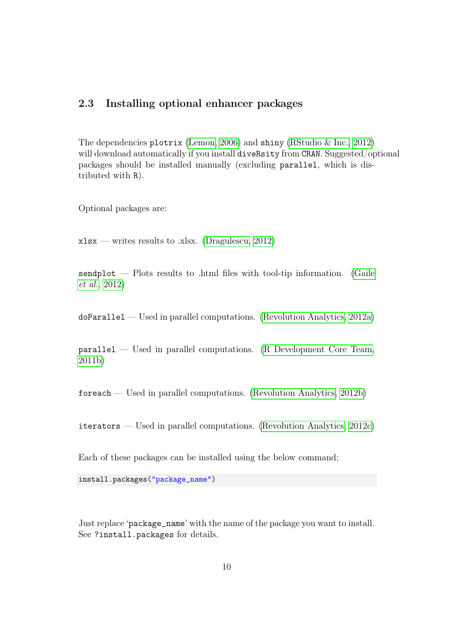### <span id="page-10-0"></span>2.3 Installing optional enhancer packages

The dependencies plotrix [\(Lemon, 2006\)](#page-84-2) and shiny [\(RStudio & Inc., 2012\)](#page-85-2) will download automatically if you install diveRsity from CRAN. Suggested/optional packages should be installed manually (excluding parallel, which is distributed with R).

Optional packages are:

 $x$ lsx — writes results to .xlsx. [\(Dragulescu, 2012\)](#page-84-3)

sendplot — Plots results to .html files with tool-tip information. [\(Gaile](#page-84-4) *[et al.](#page-84-4)*, [2012\)](#page-84-4)

doParallel — Used in parallel computations. [\(Revolution Analytics, 2012a\)](#page-85-3)

 $parallel$  — Used in parallel computations. [\(R Development Core Team,](#page-85-4) [2011b\)](#page-85-4)

foreach — Used in parallel computations. [\(Revolution Analytics, 2012b\)](#page-85-5)

iterators — Used in parallel computations. [\(Revolution Analytics, 2012c\)](#page-85-6)

Each of these packages can be installed using the below command;

install.packages("package\_name")

Just replace 'package\_name' with the name of the package you want to install. See ?install.packages for details.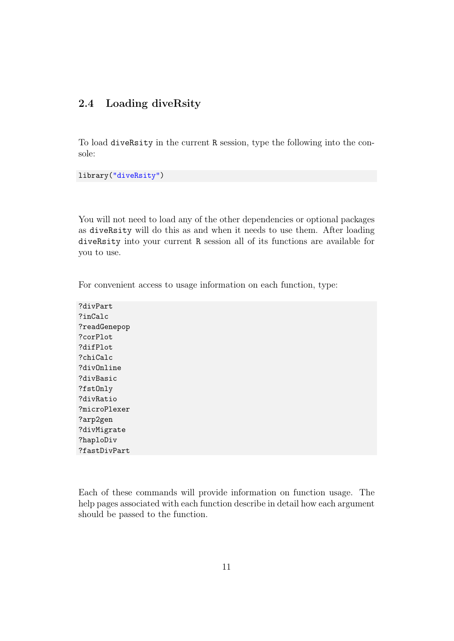## <span id="page-11-0"></span>2.4 Loading diveRsity

To load diveRsity in the current R session, type the following into the console:

library("diveRsity")

You will not need to load any of the other dependencies or optional packages as diveRsity will do this as and when it needs to use them. After loading diveRsity into your current R session all of its functions are available for you to use.

For convenient access to usage information on each function, type:

?divPart ?inCalc ?readGenepop ?corPlot ?difPlot ?chiCalc ?divOnline ?divBasic ?fstOnly ?divRatio ?microPlexer ?arp2gen ?divMigrate ?haploDiv ?fastDivPart

Each of these commands will provide information on function usage. The help pages associated with each function describe in detail how each argument should be passed to the function.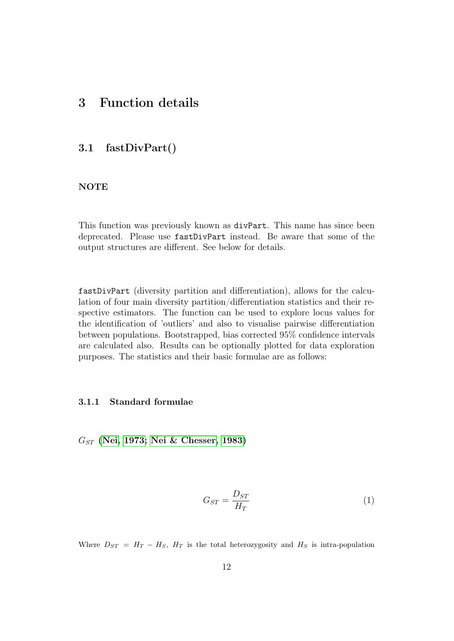# <span id="page-12-1"></span><span id="page-12-0"></span>3 Function details

### 3.1 fastDivPart()

### NOTE

This function was previously known as divPart. This name has since been deprecated. Please use fastDivPart instead. Be aware that some of the output structures are different. See below for details.

fastDivPart (diversity partition and differentiation), allows for the calculation of four main diversity partition/differentiation statistics and their respective estimators. The function can be used to explore locus values for the identification of 'outliers' and also to visualise pairwise differentiation between populations. Bootstrapped, bias corrected 95% confidence intervals are calculated also. Results can be optionally plotted for data exploration purposes. The statistics and their basic formulae are as follows:

#### <span id="page-12-2"></span>3.1.1 Standard formulae

 $G_{ST}$  [\(Nei, 1973;](#page-84-5) [Nei & Chesser, 1983\)](#page-84-6)

$$
G_{ST} = \frac{D_{ST}}{H_T} \tag{1}
$$

Where  $D_{ST} = H_T - H_S$ ,  $H_T$  is the total heterozygosity and  $H_S$  is intra-population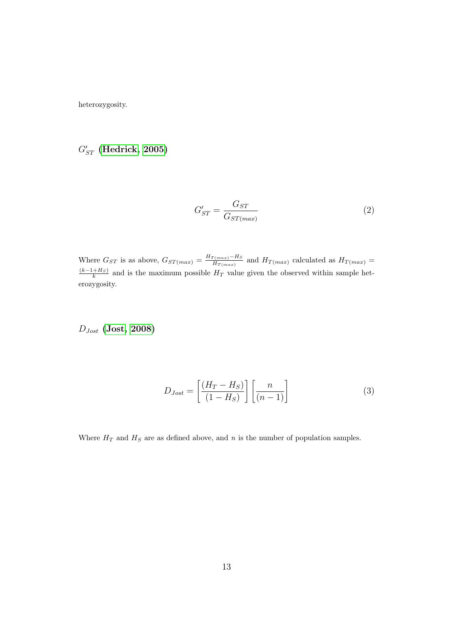heterozygosity.

# $G'_{ST}$  [\(Hedrick, 2005\)](#page-84-7)

$$
G'_{ST} = \frac{G_{ST}}{G_{ST(max)}}\tag{2}
$$

Where  $G_{ST}$  is as above,  $G_{ST(max)} = \frac{H_{T(max)} - H_S}{H_{T(max)}}$  $\frac{H_{T(max)}-H_S}{H_{T(max)}}$  and  $H_{T(max)}$  calculated as  $H_{T(max)}=$  $(k-1+H<sub>S</sub>)$  $\frac{H_{HS}}{k}$  and is the maximum possible  $H_T$  value given the observed within sample heterozygosity.

 $D_{Jost}$  [\(Jost, 2008\)](#page-84-8)

$$
D_{Jost} = \left[\frac{(H_T - H_S)}{(1 - H_S)}\right] \left[\frac{n}{(n - 1)}\right]
$$
\n(3)

Where  $H_T$  and  $H_S$  are as defined above, and n is the number of population samples.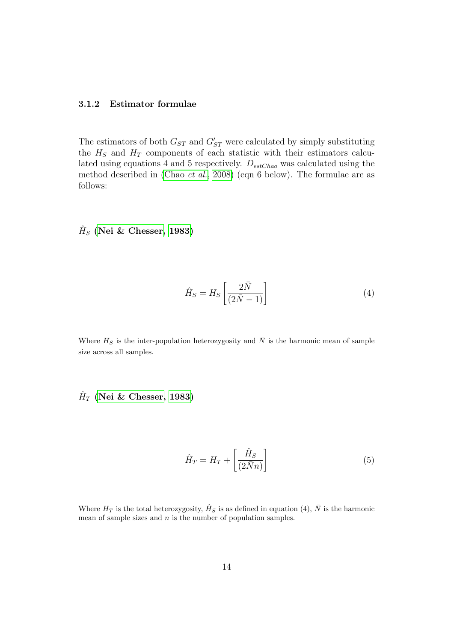#### <span id="page-14-0"></span>3.1.2 Estimator formulae

The estimators of both  $G_{ST}$  and  $G'_{ST}$  were calculated by simply substituting the  $H<sub>S</sub>$  and  $H<sub>T</sub>$  components of each statistic with their estimators calculated using equations 4 and 5 respectively.  $D_{estChao}$  was calculated using the method described in [\(Chao](#page-84-9) *et al.*, [2008\)](#page-84-9) (eqn 6 below). The formulae are as follows:

 $\hat{H}_S$  [\(Nei & Chesser, 1983\)](#page-84-6)

$$
\hat{H}_S = H_S \left[ \frac{2\bar{N}}{(2\bar{N} - 1)} \right]
$$
\n(4)

Where  $H_S$  is the inter-population heterozygosity and  $\overline{N}$  is the harmonic mean of sample size across all samples.

 $\hat{H}_T$  [\(Nei & Chesser, 1983\)](#page-84-6)

$$
\hat{H}_T = H_T + \left[\frac{\hat{H}_S}{(2\bar{N}n)}\right]
$$
\n(5)

Where  $H_T$  is the total heterozygosity,  $\hat{H}_S$  is as defined in equation (4),  $\bar{N}$  is the harmonic mean of sample sizes and  $n$  is the number of population samples.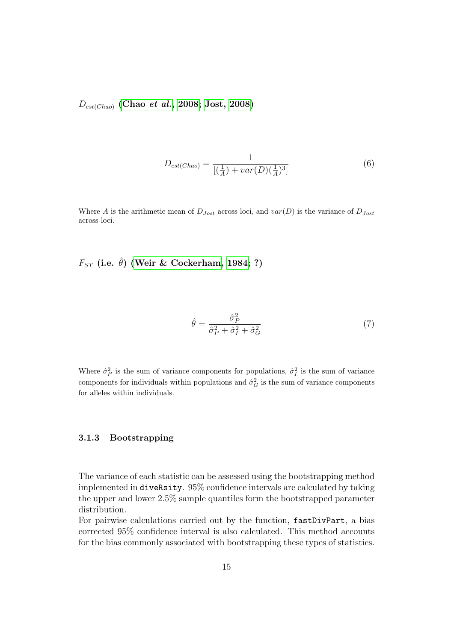$D_{est(Chao)}$  $D_{est(Chao)}$  $D_{est(Chao)}$  (Chao et al., [2008;](#page-84-9) [Jost, 2008\)](#page-84-8)

$$
D_{est(Chao)} = \frac{1}{[(\frac{1}{A}) + var(D)(\frac{1}{A})^3]}
$$
(6)

Where A is the arithmetic mean of  $D_{Jost}$  across loci, and  $var(D)$  is the variance of  $D_{Jost}$ across loci.

 $F_{ST}$  (i.e.  $\hat{\theta}$ ) [\(Weir & Cockerham, 1984;](#page-85-7) ?)

$$
\hat{\theta} = \frac{\hat{\sigma}_P^2}{\hat{\sigma}_P^2 + \hat{\sigma}_I^2 + \hat{\sigma}_G^2} \tag{7}
$$

Where  $\hat{\sigma}_P^2$  is the sum of variance components for populations,  $\hat{\sigma}_I^2$  is the sum of variance components for individuals within populations and  $\hat{\sigma}_G^2$  is the sum of variance components for alleles within individuals.

### <span id="page-15-0"></span>3.1.3 Bootstrapping

The variance of each statistic can be assessed using the bootstrapping method implemented in diveRsity. 95% confidence intervals are calculated by taking the upper and lower 2.5% sample quantiles form the bootstrapped parameter distribution.

For pairwise calculations carried out by the function, fastDivPart, a bias corrected 95% confidence interval is also calculated. This method accounts for the bias commonly associated with bootstrapping these types of statistics.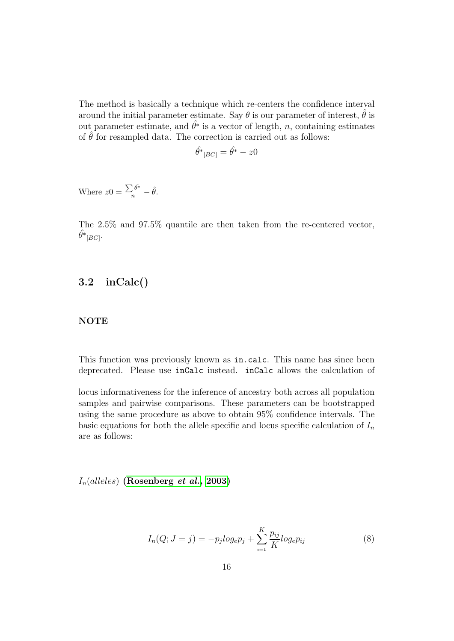The method is basically a technique which re-centers the confidence interval around the initial parameter estimate. Say  $\theta$  is our parameter of interest,  $\hat{\theta}$  is out parameter estimate, and  $\hat{\theta}^*$  is a vector of length, n, containing estimates of  $\hat{\theta}$  for resampled data. The correction is carried out as follows:

$$
\hat{\theta^*}_{[BC]} = \hat{\theta^*} - z0
$$

Where  $z0 = \frac{\sum \hat{\theta^*}}{n} - \hat{\theta}$ .

The 2.5% and 97.5% quantile are then taken from the re-centered vector,  $\hat{\theta^*}_{[BC]}.$ 

# <span id="page-16-0"></span>3.2 inCalc()

### **NOTE**

This function was previously known as in.calc. This name has since been deprecated. Please use inCalc instead. inCalc allows the calculation of

locus informativeness for the inference of ancestry both across all population samples and pairwise comparisons. These parameters can be bootstrapped using the same procedure as above to obtain 95% confidence intervals. The basic equations for both the allele specific and locus specific calculation of  $I_n$ are as follows:

 $I_n(alleles)$  [\(Rosenberg](#page-85-8) *et al.*, [2003\)](#page-85-8)

$$
I_n(Q; J = j) = -p_j log_e p_j + \sum_{i=1}^{K} \frac{p_{ij}}{K} log_e p_{ij}
$$
 (8)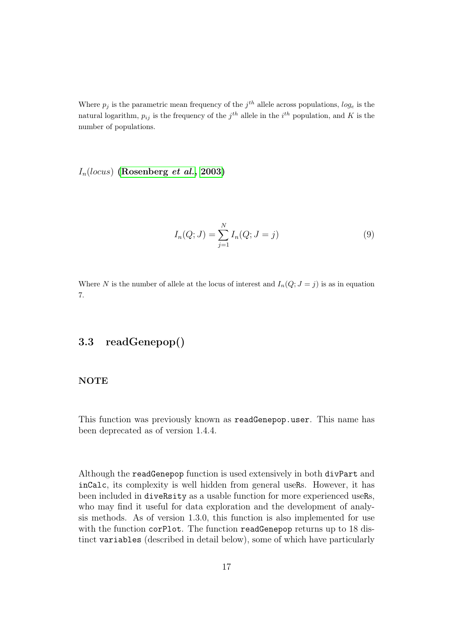Where  $p_j$  is the parametric mean frequency of the  $j^{th}$  allele across populations,  $log_e$  is the natural logarithm,  $p_{ij}$  is the frequency of the  $j^{th}$  allele in the  $i^{th}$  population, and K is the number of populations.

 $I_n(locus)$  [\(Rosenberg](#page-85-8) *et al.*, [2003\)](#page-85-8)

$$
I_n(Q; J) = \sum_{j=1}^{N} I_n(Q; J = j)
$$
\n(9)

Where N is the number of allele at the locus of interest and  $I_n(Q; J = j)$  is as in equation 7.

# <span id="page-17-0"></span>3.3 readGenepop()

### NOTE

This function was previously known as readGenepop.user. This name has been deprecated as of version 1.4.4.

Although the readGenepop function is used extensively in both divPart and inCalc, its complexity is well hidden from general useRs. However, it has been included in diveRsity as a usable function for more experienced useRs, who may find it useful for data exploration and the development of analysis methods. As of version 1.3.0, this function is also implemented for use with the function corPlot. The function readGenepop returns up to 18 distinct variables (described in detail below), some of which have particularly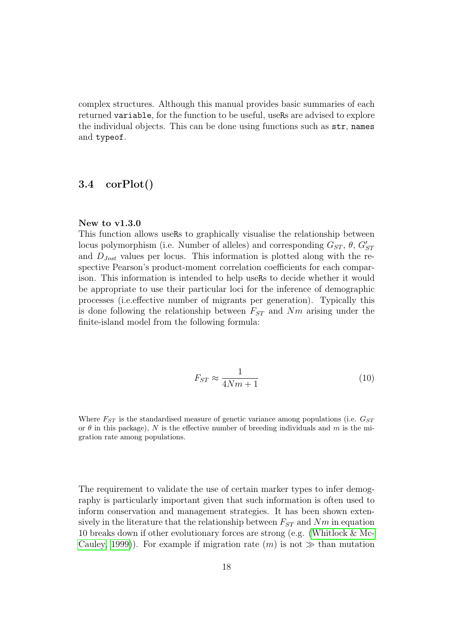complex structures. Although this manual provides basic summaries of each returned variable, for the function to be useful, useRs are advised to explore the individual objects. This can be done using functions such as str, names and typeof.

## <span id="page-18-0"></span>3.4 corPlot()

#### New to v1.3.0

This function allows useRs to graphically visualise the relationship between locus polymorphism (i.e. Number of alleles) and corresponding  $G_{ST}$ ,  $\theta$ ,  $G'_{ST}$ and  $D_{Jost}$  values per locus. This information is plotted along with the respective Pearson's product-moment correlation coefficients for each comparison. This information is intended to help useRs to decide whether it would be appropriate to use their particular loci for the inference of demographic processes (i.e.effective number of migrants per generation). Typically this is done following the relationship between  $F_{ST}$  and  $Nm$  arising under the finite-island model from the following formula:

$$
F_{ST} \approx \frac{1}{4Nm + 1} \tag{10}
$$

Where  $F_{ST}$  is the standardised measure of genetic variance among populations (i.e.  $G_{ST}$ ) or  $\theta$  in this package), N is the effective number of breeding individuals and m is the migration rate among populations.

The requirement to validate the use of certain marker types to infer demography is particularly important given that such information is often used to inform conservation and management strategies. It has been shown extensively in the literature that the relationship between  $F_{ST}$  and  $Nm$  in equation 10 breaks down if other evolutionary forces are strong (e.g. [\(Whitlock & Mc-](#page-85-9)[Cauley, 1999\)](#page-85-9). For example if migration rate  $(m)$  is not  $\gg$  than mutation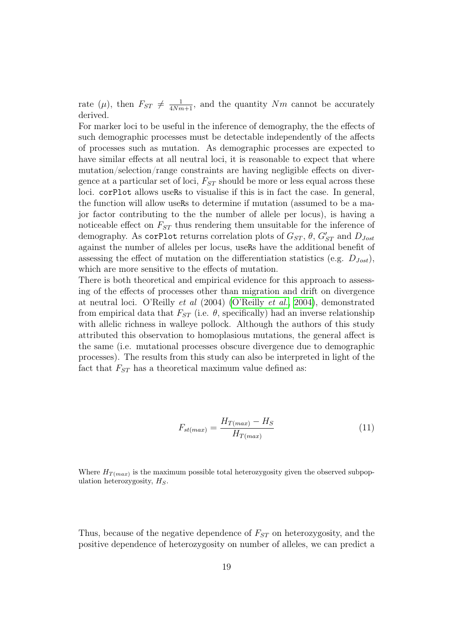rate ( $\mu$ ), then  $F_{ST} \neq \frac{1}{4Nm+1}$ , and the quantity Nm cannot be accurately derived.

For marker loci to be useful in the inference of demography, the the effects of such demographic processes must be detectable independently of the affects of processes such as mutation. As demographic processes are expected to have similar effects at all neutral loci, it is reasonable to expect that where mutation/selection/range constraints are having negligible effects on divergence at a particular set of loci,  $F_{ST}$  should be more or less equal across these loci. corPlot allows useRs to visualise if this is in fact the case. In general, the function will allow useRs to determine if mutation (assumed to be a major factor contributing to the the number of allele per locus), is having a noticeable effect on  $F_{ST}$  thus rendering them unsuitable for the inference of demography. As corplot returns correlation plots of  $G_{ST}$ ,  $\theta$ ,  $G'_{ST}$  and  $D_{Jost}$ against the number of alleles per locus, useRs have the additional benefit of assessing the effect of mutation on the differentiation statistics (e.g.  $D_{lost}$ ), which are more sensitive to the effects of mutation.

There is both theoretical and empirical evidence for this approach to assessing of the effects of processes other than migration and drift on divergence at neutral loci. O'Reilly *et al* (2004) [\(O'Reilly](#page-84-10) *et al.*, [2004\)](#page-84-10), demonstrated from empirical data that  $F_{ST}$  (i.e.  $\theta$ , specifically) had an inverse relationship with allelic richness in walleye pollock. Although the authors of this study attributed this observation to homoplasious mutations, the general affect is the same (i.e. mutational processes obscure divergence due to demographic processes). The results from this study can also be interpreted in light of the fact that  $F_{ST}$  has a theoretical maximum value defined as:

$$
F_{st(max)} = \frac{H_{T(max)} - H_S}{H_{T(max)}}\tag{11}
$$

Where  $H_{T(max)}$  is the maximum possible total heterozygosity given the observed subpopulation heterozygosity,  $H<sub>S</sub>$ .

Thus, because of the negative dependence of  $F_{ST}$  on heterozygosity, and the positive dependence of heterozygosity on number of alleles, we can predict a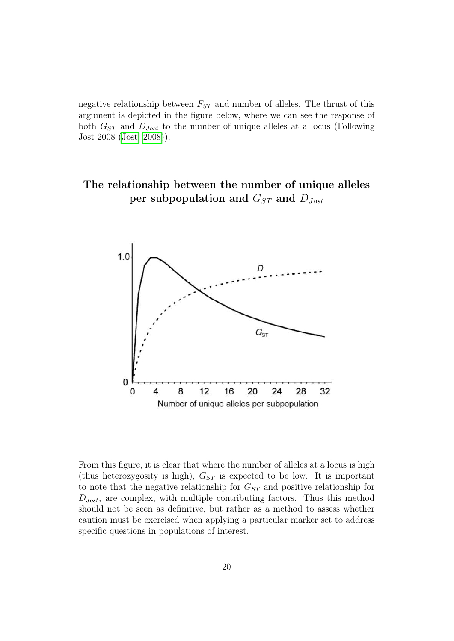negative relationship between  $F_{ST}$  and number of alleles. The thrust of this argument is depicted in the figure below, where we can see the response of both  $G_{ST}$  and  $D_{Jost}$  to the number of unique alleles at a locus (Following Jost 2008 [\(Jost, 2008\)](#page-84-8)).

# The relationship between the number of unique alleles per subpopulation and  $G_{ST}$  and  $D_{Jost}$



From this figure, it is clear that where the number of alleles at a locus is high (thus heterozygosity is high),  $G_{ST}$  is expected to be low. It is important to note that the negative relationship for  $G_{ST}$  and positive relationship for  $D_{Jost}$ , are complex, with multiple contributing factors. Thus this method should not be seen as definitive, but rather as a method to assess whether caution must be exercised when applying a particular marker set to address specific questions in populations of interest.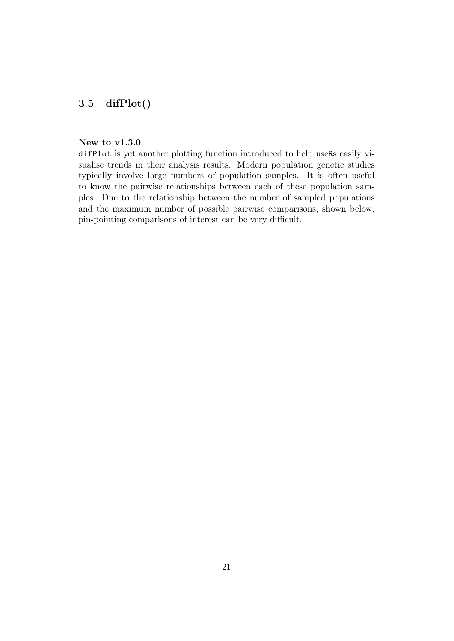# <span id="page-21-0"></span>3.5 difPlot()

#### New to v1.3.0

difPlot is yet another plotting function introduced to help useRs easily visualise trends in their analysis results. Modern population genetic studies typically involve large numbers of population samples. It is often useful to know the pairwise relationships between each of these population samples. Due to the relationship between the number of sampled populations and the maximum number of possible pairwise comparisons, shown below, pin-pointing comparisons of interest can be very difficult.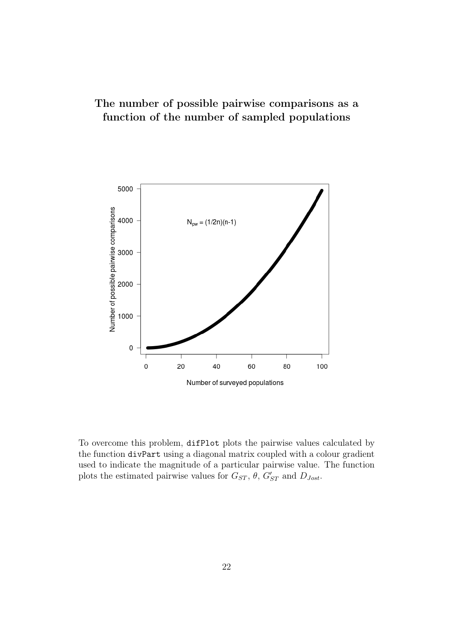# The number of possible pairwise comparisons as a function of the number of sampled populations



To overcome this problem, difPlot plots the pairwise values calculated by the function divPart using a diagonal matrix coupled with a colour gradient used to indicate the magnitude of a particular pairwise value. The function plots the estimated pairwise values for  $G_{ST}$ ,  $\theta$ ,  $G'_{ST}$  and  $D_{Jost}$ .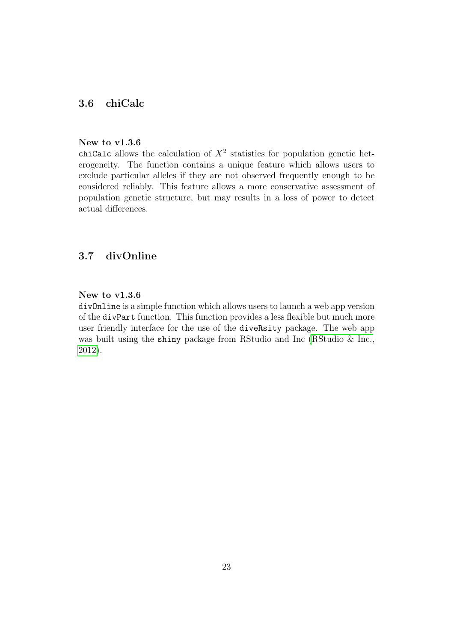# <span id="page-23-0"></span>3.6 chiCalc

#### New to v1.3.6

chiCalc allows the calculation of  $X^2$  statistics for population genetic heterogeneity. The function contains a unique feature which allows users to exclude particular alleles if they are not observed frequently enough to be considered reliably. This feature allows a more conservative assessment of population genetic structure, but may results in a loss of power to detect actual differences.

# <span id="page-23-1"></span>3.7 divOnline

### New to v1.3.6

divOnline is a simple function which allows users to launch a web app version of the divPart function. This function provides a less flexible but much more user friendly interface for the use of the diveRsity package. The web app was built using the shiny package from RStudio and Inc [\(RStudio & Inc.,](#page-85-2) [2012\)](#page-85-2).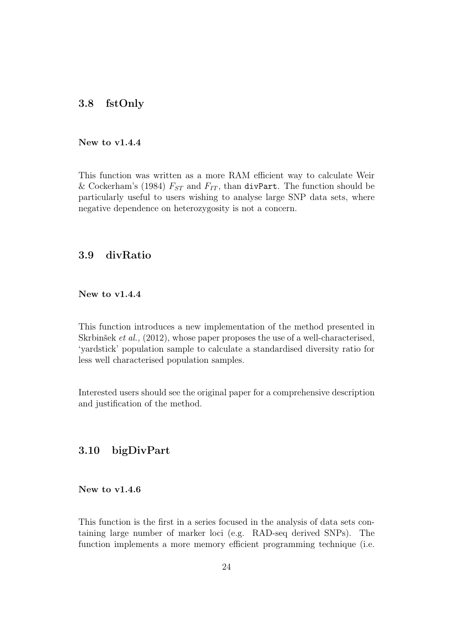### <span id="page-24-0"></span>3.8 fstOnly

#### New to v1.4.4

This function was written as a more RAM efficient way to calculate Weir & Cockerham's (1984)  $F_{ST}$  and  $F_{IT}$ , than divPart. The function should be particularly useful to users wishing to analyse large SNP data sets, where negative dependence on heterozygosity is not a concern.

# <span id="page-24-1"></span>3.9 divRatio

New to v1.4.4

This function introduces a new implementation of the method presented in Skrbinšek *et al.,* (2012), whose paper proposes the use of a well-characterised, 'yardstick' population sample to calculate a standardised diversity ratio for less well characterised population samples.

Interested users should see the original paper for a comprehensive description and justification of the method.

## <span id="page-24-2"></span>3.10 bigDivPart

#### New to v1.4.6

This function is the first in a series focused in the analysis of data sets containing large number of marker loci (e.g. RAD-seq derived SNPs). The function implements a more memory efficient programming technique (i.e.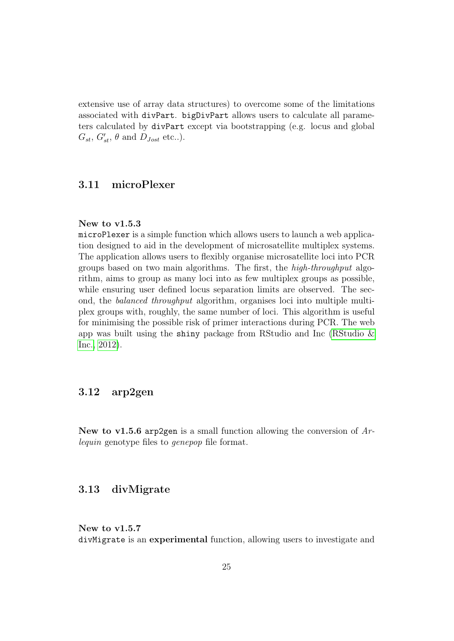extensive use of array data structures) to overcome some of the limitations associated with divPart. bigDivPart allows users to calculate all parameters calculated by divPart except via bootstrapping (e.g. locus and global  $G_{st}, G'_{st}, \theta$  and  $D_{Jost}$  etc..).

# <span id="page-25-0"></span>3.11 microPlexer

#### New to v1.5.3

microPlexer is a simple function which allows users to launch a web application designed to aid in the development of microsatellite multiplex systems. The application allows users to flexibly organise microsatellite loci into PCR groups based on two main algorithms. The first, the *high-throughput* algorithm, aims to group as many loci into as few multiplex groups as possible, while ensuring user defined locus separation limits are observed. The second, the *balanced throughput* algorithm, organises loci into multiple multiplex groups with, roughly, the same number of loci. This algorithm is useful for minimising the possible risk of primer interactions during PCR. The web app was built using the shiny package from RStudio and Inc (RStudio  $\&$ [Inc., 2012\)](#page-85-2).

# <span id="page-25-1"></span>3.12 arp2gen

New to v1.5.6 arp2gen is a small function allowing the conversion of *Arlequin* genotype files to *genepop* file format.

### <span id="page-25-2"></span>3.13 divMigrate

### New to v1.5.7 divMigrate is an experimental function, allowing users to investigate and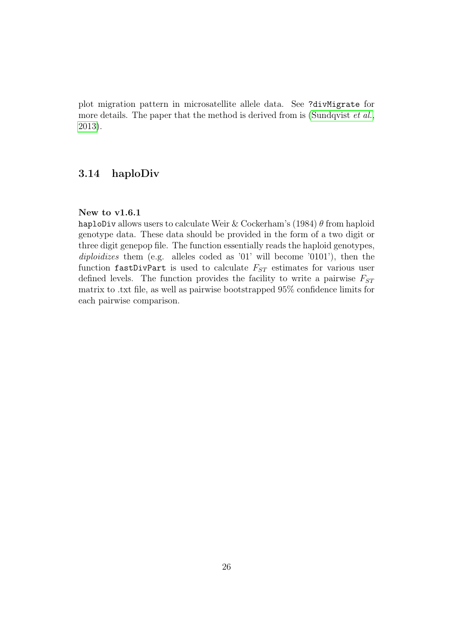plot migration pattern in microsatellite allele data. See ?divMigrate for more details. The paper that the method is derived from is [\(Sundqvist](#page-85-1) *et al.*, [2013\)](#page-85-1).

### <span id="page-26-0"></span>3.14 haploDiv

### New to v1.6.1

haploDiv allows users to calculate Weir & Cockerham's (1984)  $\theta$  from haploid genotype data. These data should be provided in the form of a two digit or three digit genepop file. The function essentially reads the haploid genotypes, *diploidizes* them (e.g. alleles coded as '01' will become '0101'), then the function fastDivPart is used to calculate  $F_{ST}$  estimates for various user defined levels. The function provides the facility to write a pairwise  $F_{ST}$ matrix to .txt file, as well as pairwise bootstrapped 95% confidence limits for each pairwise comparison.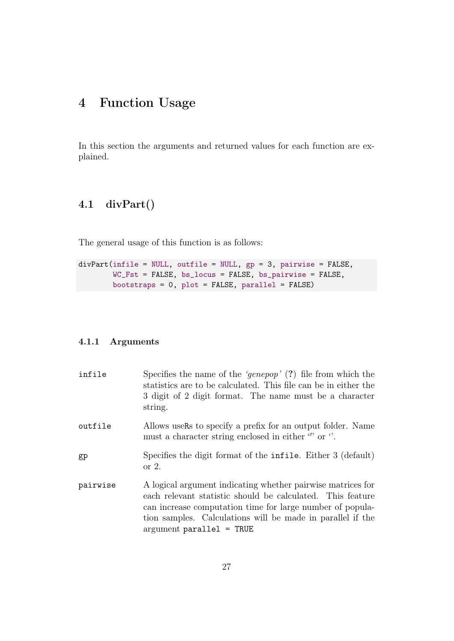# <span id="page-27-0"></span>4 Function Usage

In this section the arguments and returned values for each function are explained.

# <span id="page-27-1"></span>4.1 divPart()

The general usage of this function is as follows:

```
divPart(infile = NULL, outfile = NULL, gp = 3, pairwise = FALSE,
        WC_Fst = FALSE, bs_locus = FALSE, bs_pairwise = FALSE,
        bootstraps = 0, plot = FALSE, parallel = FALSE)
```
### <span id="page-27-2"></span>4.1.1 Arguments

| infile   | Specifies the name of the 'genepop' $(?)$ file from which the<br>statistics are to be calculated. This file can be in either the<br>3 digit of 2 digit format. The name must be a character<br>string.                                                                              |
|----------|-------------------------------------------------------------------------------------------------------------------------------------------------------------------------------------------------------------------------------------------------------------------------------------|
| outfile  | Allows users to specify a prefix for an output folder. Name<br>must a character string enclosed in either $\omega$ or $\gamma$ .                                                                                                                                                    |
| gp       | Specifies the digit format of the <b>infile</b> . Either 3 (default)<br>or $2$ .                                                                                                                                                                                                    |
| pairwise | A logical argument indicating whether pairwise matrices for<br>each relevant statistic should be calculated. This feature<br>can increase computation time for large number of popula-<br>tion samples. Calculations will be made in parallel if the<br>$argument\ parallel = TRUE$ |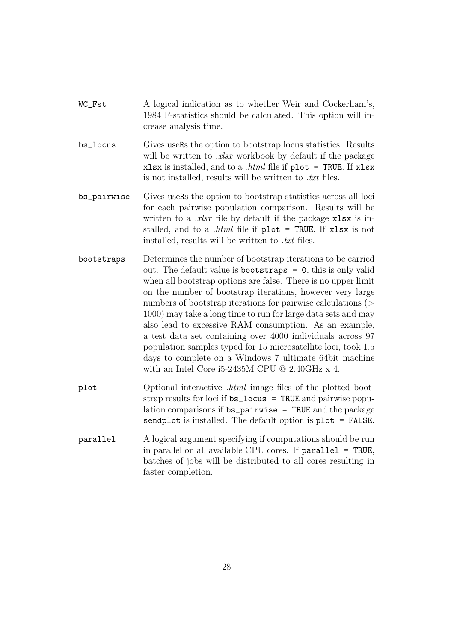- WC\_Fst A logical indication as to whether Weir and Cockerham's, 1984 F-statistics should be calculated. This option will increase analysis time.
- bs\_locus Gives useRs the option to bootstrap locus statistics. Results will be written to *.xlsx* workbook by default if the package xlsx is installed, and to a *.html* file if plot = TRUE. If xlsx is not installed, results will be written to *.txt* files.
- bs\_pairwise Gives useRs the option to bootstrap statistics across all loci for each pairwise population comparison. Results will be written to a *rlsx* file by default if the package xlsx is installed, and to a *.html* file if plot = TRUE. If xlsx is not installed, results will be written to *.txt* files.
- bootstraps Determines the number of bootstrap iterations to be carried out. The default value is bootstraps = 0, this is only valid when all bootstrap options are false. There is no upper limit on the number of bootstrap iterations, however very large numbers of bootstrap iterations for pairwise calculations (> 1000) may take a long time to run for large data sets and may also lead to excessive RAM consumption. As an example, a test data set containing over 4000 individuals across 97 population samples typed for 15 microsatellite loci, took 1.5 days to complete on a Windows 7 ultimate 64bit machine with an Intel Core i5-2435M CPU @ 2.40GHz x 4.
- plot Optional interactive *.html* image files of the plotted bootstrap results for loci if bs\_locus = TRUE and pairwise population comparisons if bs\_pairwise = TRUE and the package sendplot is installed. The default option is plot = FALSE.
- parallel A logical argument specifying if computations should be run in parallel on all available CPU cores. If parallel = TRUE, batches of jobs will be distributed to all cores resulting in faster completion.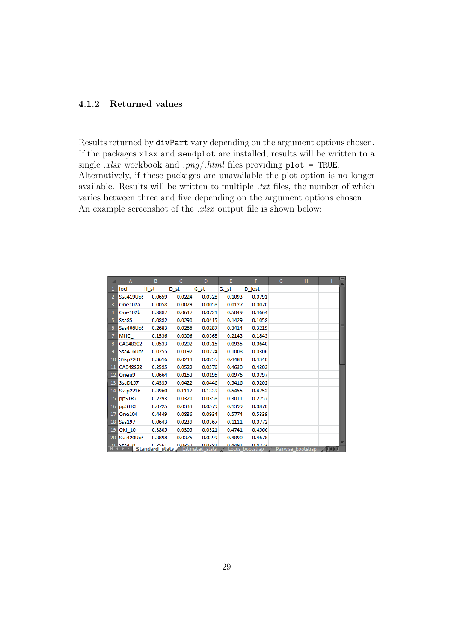### <span id="page-29-0"></span>4.1.2 Returned values

Results returned by divPart vary depending on the argument options chosen. If the packages xlsx and sendplot are installed, results will be written to a single *.xlsx* workbook and *.png*/*.html* files providing plot = TRUE. Alternatively, if these packages are unavailable the plot option is no longer available. Results will be written to multiple *.txt* files, the number of which varies between three and five depending on the argument options chosen. An example screenshot of the *.xlsx* output file is shown below:

|                 | A                                                         | B            | C               | D                         | E      | F                         | G | н                  |                    | Ē |
|-----------------|-----------------------------------------------------------|--------------|-----------------|---------------------------|--------|---------------------------|---|--------------------|--------------------|---|
| 1               | loci                                                      | H st         | D <sub>st</sub> | G st                      | G. st  | D jost                    |   |                    |                    |   |
|                 | Ssa419Uo!                                                 | 0.0659       | 0.0224          | 0.0328                    | 0.1093 | 0.0791                    |   |                    |                    |   |
| 3               | One102a                                                   | 0.0058       | 0.0029          | 0.0058                    | 0.0127 | 0.0070                    |   |                    |                    |   |
| 4               | One102b                                                   | 0.3887       | 0.0647          | 0.0721                    | 0.5049 | 0.4664                    |   |                    |                    |   |
| 5               | Ssa85                                                     | 0.0882       | 0.0290          | 0.0415                    | 0.1429 | 0.1058                    |   |                    |                    |   |
| 6               | Ssa406Uo!                                                 | 0.2683       | 0.0266          | 0.0287                    | 0.3414 | 0.3219                    |   |                    |                    | ≣ |
| $\overline{7}$  | MHC I                                                     | 0.1536       | 0.0306          | 0.0368                    | 0.2143 | 0.1843                    |   |                    |                    |   |
| 8               | CA048302                                                  | 0.0533       | 0.0202          | 0.0315                    | 0.0935 | 0.0640                    |   |                    |                    |   |
| 9               | Ssa416Uos                                                 | 0.0255       | 0.0192          | 0.0724                    | 0.1008 | 0.0306                    |   |                    |                    |   |
| 10              | SSsp2201                                                  | 0.3616       | 0.0244          | 0.0255                    | 0.4484 | 0.4340                    |   |                    |                    |   |
| 11              | CA048828                                                  | 0.3585       | 0.0522          | 0.0576                    | 0.4630 | 0.4302                    |   |                    |                    |   |
| 12 <sub>2</sub> | Oneu9                                                     | 0.0664       | 0.0153          | 0.0195                    | 0.0976 | 0.0797                    |   |                    |                    |   |
| 13              | SsaD157                                                   | 0.4335       | 0.0422          | 0.0446                    | 0.5416 | 0.5202                    |   |                    |                    |   |
| 14              | <b>Sssp2216</b>                                           | 0.3960       | 0.1112          | 0.1339                    | 0.5455 | 0.4752                    |   |                    |                    |   |
| 15              | ppSTR2                                                    | 0.2293       | 0.0320          | 0.0358                    | 0.3011 | 0.2752                    |   |                    |                    |   |
| 16              | ppSTR3                                                    | 0.0725       | 0.0333          | 0.0579                    | 0.1399 | 0.0870                    |   |                    |                    |   |
| 17              | One104                                                    | 0.4449       | 0.0836          | 0.0934                    | 0.5774 | 0.5339                    |   |                    |                    |   |
| 18              | Ssa197                                                    | 0.0643       | 0.0239          | 0.0367                    | 0.1111 | 0.0772                    |   |                    |                    |   |
| 19              | Oki 10                                                    | 0.3805       | 0.0305          | 0.0321                    | 0.4741 | 0.4566                    |   |                    |                    |   |
| 20              | Ssa420UoS                                                 | 0.3898       | 0.0375          | 0.0399                    | 0.4890 | 0.4678                    |   |                    |                    |   |
|                 | <b>21 Sco410</b> 0.2561<br>R <b>C E BL</b> Standard stats | <b>CA200</b> | 0.0257          | 0.0291<br>Estimated stats | 0.4491 | 0.4272<br>Locus hootstran |   | Pairwise hootstran | <b>AT4 &gt; T1</b> |   |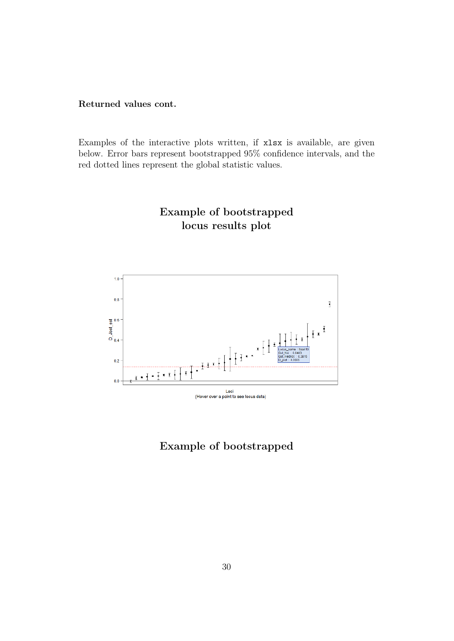### Returned values cont.

Examples of the interactive plots written, if xlsx is available, are given below. Error bars represent bootstrapped 95% confidence intervals, and the red dotted lines represent the global statistic values.

# Example of bootstrapped locus results plot



Example of bootstrapped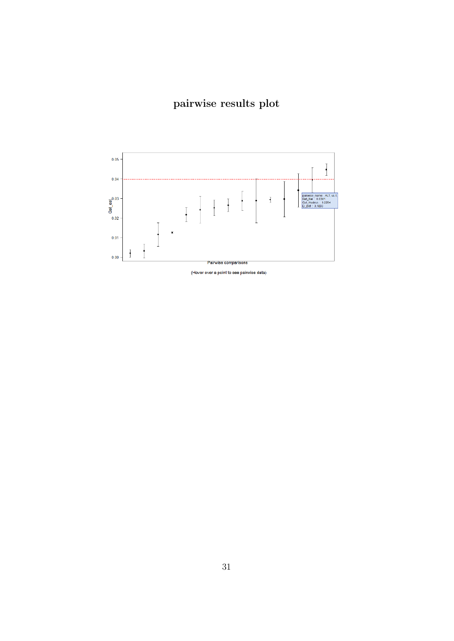# pairwise results plot

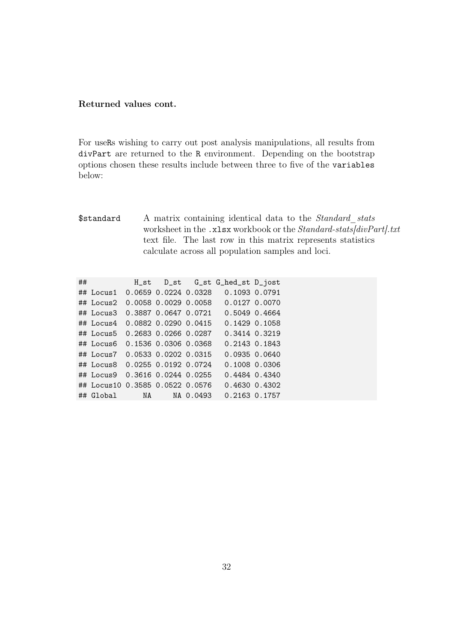### Returned values cont.

For useRs wishing to carry out post analysis manipulations, all results from divPart are returned to the R environment. Depending on the bootstrap options chosen these results include between three to five of the variables below:

\$standard A matrix containing identical data to the *Standard\_stats* worksheet in the .xlsx workbook or the *Standard-stats[divPart].txt* text file. The last row in this matrix represents statistics calculate across all population samples and loci.

| ## |                        |                            | H_st D_st G_st G_hed_st D_jost |  |
|----|------------------------|----------------------------|--------------------------------|--|
|    | ## Locus1              | $0.0659$ $0.0224$ $0.0328$ | 0.1093 0.0791                  |  |
|    | ## Locus2              | 0.0058 0.0029 0.0058       | 0.0127 0.0070                  |  |
|    | ## Locus3              | 0.3887 0.0647 0.0721       | 0.5049 0.4664                  |  |
|    | $\#$ # Locus4          | 0.0882 0.0290 0.0415       | $0.1429$ 0.1058                |  |
|    | ## Locus5              | 0.2683 0.0266 0.0287       | 0.3414 0.3219                  |  |
|    | ## Locus6              | 0.1536 0.0306 0.0368       | 0.2143 0.1843                  |  |
|    | $\#$ # Locus $7$       | 0.0533 0.0202 0.0315       | 0.093500.0640                  |  |
|    | ## Locus8              | 0.0255 0.0192 0.0724       | 0.1008 0.0306                  |  |
|    | ## Locus9              | 0.3616 0.0244 0.0255       | 0.4484 0.4340                  |  |
|    | ## Locus10             | 0.3585 0.0522 0.0576       | $0.4630$ $0.4302$              |  |
|    | ## Global MA NA 0.0493 |                            | 0.2163 0.1757                  |  |
|    |                        |                            |                                |  |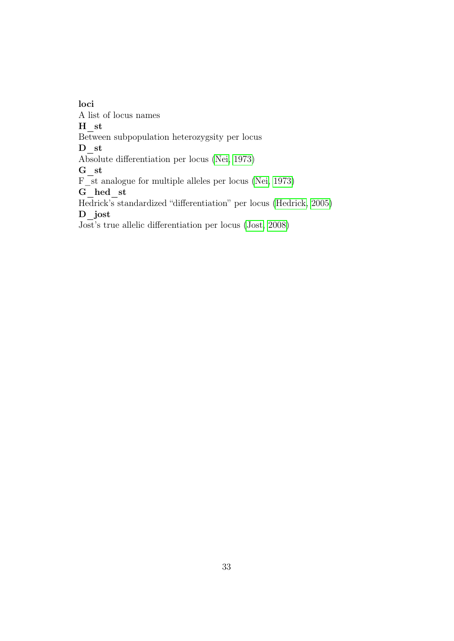loci A list of locus names H\_st Between subpopulation heterozygsity per locus D\_st Absolute differentiation per locus [\(Nei, 1973\)](#page-84-5)  $G_{st}$ F\_st analogue for multiple alleles per locus [\(Nei, 1973\)](#page-84-5) G\_hed\_st Hedrick's standardized "differentiation" per locus [\(Hedrick, 2005\)](#page-84-7) D\_jost Jost's true allelic differentiation per locus [\(Jost, 2008\)](#page-84-8)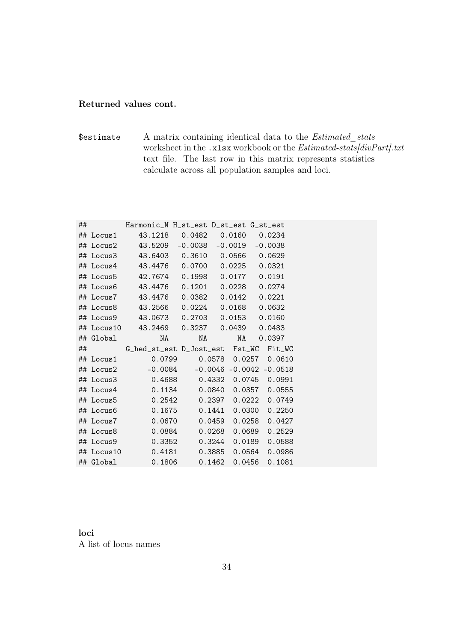### Returned values cont.

\$estimate A matrix containing identical data to the *Estimated\_stats* worksheet in the .xlsx workbook or the *Estimated-stats[divPart].txt* text file. The last row in this matrix represents statistics calculate across all population samples and loci.

| ## |           | Harmonic_N H_st_est D_st_est G_st_est     |    |                 |  |
|----|-----------|-------------------------------------------|----|-----------------|--|
|    |           | ## Locus1 43.1218 0.0482 0.0160 0.0234    |    |                 |  |
|    |           | ## Locus2 43.5209 -0.0038 -0.0019 -0.0038 |    |                 |  |
|    |           | ## Locus3 43.6403 0.3610 0.0566 0.0629    |    |                 |  |
|    |           | ## Locus4 43.4476 0.0700 0.0225 0.0321    |    |                 |  |
|    |           | ## Locus5 42.7674 0.1998 0.0177 0.0191    |    |                 |  |
|    |           | ## Locus6 43.4476 0.1201 0.0228 0.0274    |    |                 |  |
|    |           | ## Locus7 43.4476 0.0382 0.0142 0.0221    |    |                 |  |
|    |           | ## Locus8 43.2566 0.0224 0.0168 0.0632    |    |                 |  |
|    |           | ## Locus9 43.0673 0.2703 0.0153 0.0160    |    |                 |  |
|    |           | ## Locus10 43.2469 0.3237 0.0439 0.0483   |    |                 |  |
|    | ## Global | NA                                        | NA | NA 0.0397       |  |
| ## |           | G_hed_st_est D_Jost_est Fst_WC Fit_WC     |    |                 |  |
|    |           |                                           |    |                 |  |
|    |           | ## Locus1 0.0799 0.0578 0.0257 0.0610     |    |                 |  |
|    |           | ## Locus2 -0.0084 -0.0046 -0.0042 -0.0518 |    |                 |  |
|    |           | ## Locus3 0.4688 0.4332 0.0745 0.0991     |    |                 |  |
|    | ## Locus4 | $0.1134$ $0.0840$ $0.0357$ $0.0555$       |    |                 |  |
|    | ## Locus5 | $0.2542$ $0.2397$ $0.0222$ $0.0749$       |    |                 |  |
|    | ## Locus6 | $0.1675$ $0.1441$ $0.0300$ $0.2250$       |    |                 |  |
|    | ## Locus7 | $0.0670$ 0.0459                           |    | 0.0258 0.0427   |  |
|    | ## Locus8 | $0.0884$ 0.0268                           |    | $0.0689$ 0.2529 |  |
|    | ## Locus9 | $0.3352$ $0.3244$ $0.0189$ $0.0588$       |    |                 |  |
|    |           |                                           |    | 0.0564 0.0986   |  |

loci A list of locus names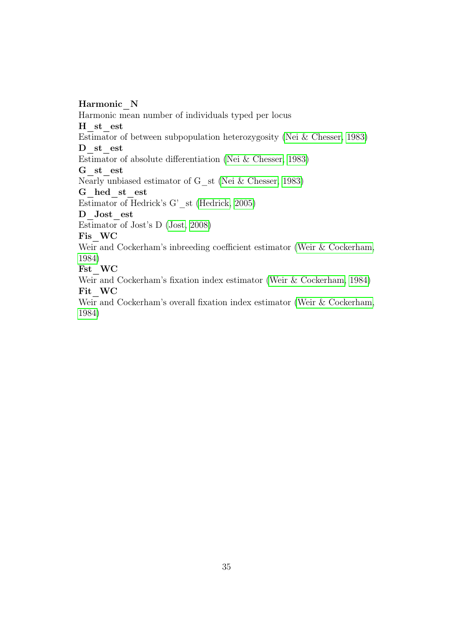Harmonic\_N Harmonic mean number of individuals typed per locus H\_st\_est Estimator of between subpopulation heterozygosity [\(Nei & Chesser, 1983\)](#page-84-6) D st est Estimator of absolute differentiation [\(Nei & Chesser, 1983\)](#page-84-6) G\_st\_est Nearly unbiased estimator of G\_st [\(Nei & Chesser, 1983\)](#page-84-6) G\_hed\_st\_est Estimator of Hedrick's G'\_st [\(Hedrick, 2005\)](#page-84-7) D Jost est Estimator of Jost's D [\(Jost, 2008\)](#page-84-8) Fis\_WC Weir and Cockerham's inbreeding coefficient estimator [\(Weir & Cockerham,](#page-85-7) [1984\)](#page-85-7) Fst\_WC Weir and Cockerham's fixation index estimator [\(Weir & Cockerham, 1984\)](#page-85-7) Fit WC

Weir and Cockerham's overall fixation index estimator [\(Weir & Cockerham,](#page-85-7) [1984\)](#page-85-7)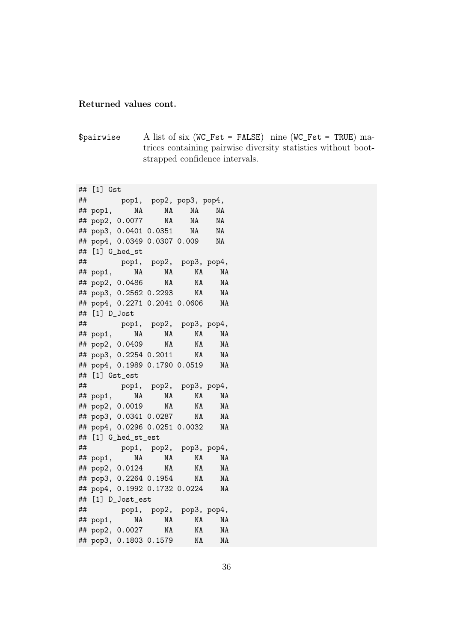#### Returned values cont.

\$pairwise A list of six  $(WC_Fst = FALSE)$  nine  $(WC_Fst = TRUE)$  matrices containing pairwise diversity statistics without bootstrapped confidence intervals.

## [1] Gst ## pop1, pop2, pop3, pop4, ## pop1, NA NA NA NA ## pop2, 0.0077 NA NA NA ## pop3, 0.0401 0.0351 NA NA ## pop4, 0.0349 0.0307 0.009 NA ## [1] G\_hed\_st ## pop1, pop2, pop3, pop4, ## pop1, NA NA NA NA ## pop2, 0.0486 NA NA NA ## pop3, 0.2562 0.2293 NA NA ## pop4, 0.2271 0.2041 0.0606 NA ## [1] D\_Jost ## pop1, pop2, pop3, pop4, ## pop1, NA NA NA NA ## pop2, 0.0409 NA NA NA ## pop3, 0.2254 0.2011 NA NA ## pop4, 0.1989 0.1790 0.0519 NA ## [1] Gst\_est ## pop1, pop2, pop3, pop4, ## pop1, NA NA NA NA ## pop2, 0.0019 NA NA NA ## pop3, 0.0341 0.0287 NA NA ## pop4, 0.0296 0.0251 0.0032 NA ## [1] G\_hed\_st\_est ## pop1, pop2, pop3, pop4, ## pop1, NA NA NA NA ## pop2, 0.0124 NA NA NA ## pop3, 0.2264 0.1954 NA NA ## pop4, 0.1992 0.1732 0.0224 NA ## [1] D\_Jost\_est ## pop1, pop2, pop3, pop4, ## pop1, NA NA NA NA ## pop2, 0.0027 NA NA NA ## pop3, 0.1803 0.1579 NA NA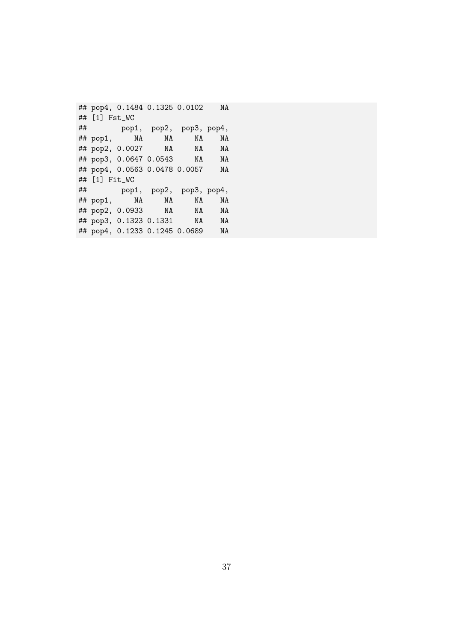## pop4, 0.1484 0.1325 0.0102 NA ## [1] Fst\_WC ## pop1, pop2, pop3, pop4, ## pop1, NA NA NA NA ## pop2, 0.0027 NA NA NA  $\frac{1}{4}$  pop2, 0.002*t* NA NA NA<br>## pop3, 0.0647 0.0543 NA NA ## pop4, 0.0563 0.0478 0.0057 NA ## [1] Fit\_WC ## pop1, pop2, pop3, pop4, ## pop1, NA NA NA NA ## pop2, 0.0933 NA NA NA ## pop3, 0.1323 0.1331 NA NA ## pop4, 0.1233 0.1245 0.0689 NA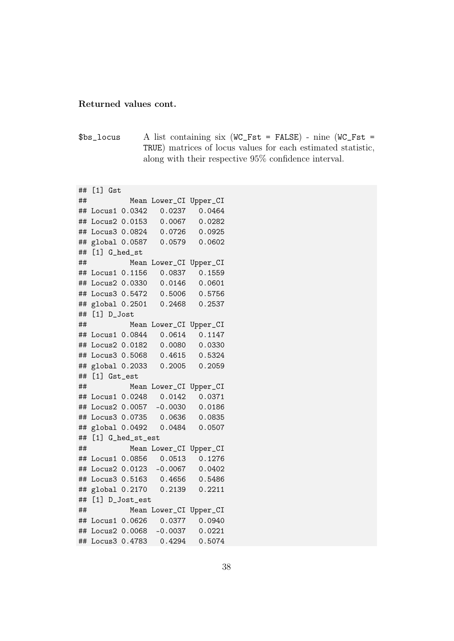#### Returned values cont.

\$bs\_locus A list containing six (WC\_Fst = FALSE) - nine (WC\_Fst = TRUE) matrices of locus values for each estimated statistic, along with their respective 95% confidence interval.

## [1] Gst ## Mean Lower\_CI Upper\_CI ## Locus1 0.0342 0.0237 0.0464 ## Locus2 0.0153 0.0067 0.0282 ## Locus3 0.0824 0.0726 0.0925 ## global 0.0587 0.0579 0.0602 ## [1] G\_hed\_st ## Mean Lower\_CI Upper\_CI ## Locus1 0.1156 0.0837 0.1559 ## Locus2 0.0330 0.0146 0.0601 ## Locus3 0.5472 0.5006 0.5756 ## global 0.2501 0.2468 0.2537 ## [1] D\_Jost ## Mean Lower\_CI Upper\_CI ## Locus1 0.0844 0.0614 0.1147 ## Locus2 0.0182 0.0080 0.0330 ## Locus3 0.5068 0.4615 0.5324 ## global 0.2033 0.2005 0.2059 ## [1] Gst est ## Mean Lower\_CI Upper\_CI ## Locus1 0.0248 0.0142 0.0371 ## Locus2 0.0057 -0.0030 0.0186 ## Locus3 0.0735 0.0636 0.0835 ## global 0.0492 0.0484 0.0507 ## [1] G\_hed\_st\_est ## Mean Lower\_CI Upper\_CI ## Locus1 0.0856 0.0513 0.1276 ## Locus2 0.0123 -0.0067 0.0402 ## Locus3 0.5163 0.4656 0.5486 ## global 0.2170 0.2139 0.2211 ## [1] D\_Jost\_est ## Mean Lower\_CI Upper\_CI ## Locus1 0.0626 0.0377 0.0940 ## Locus2 0.0068 -0.0037 0.0221 ## Locus3 0.4783 0.4294 0.5074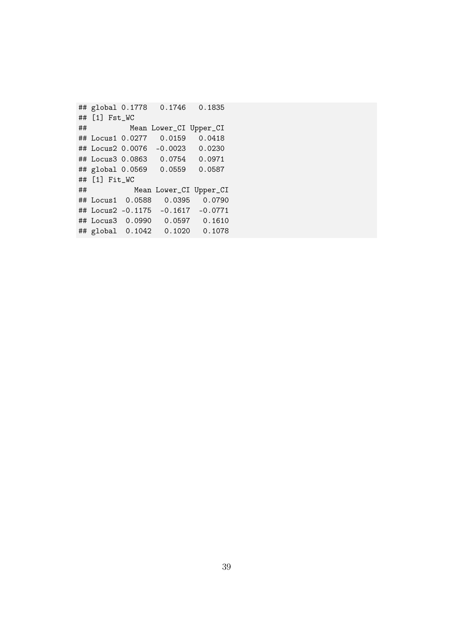```
## global 0.1778 0.1746 0.1835
## [1] Fst_WC
## Mean Lower_CI Upper_CI
## Locus1 0.0277 0.0159 0.0418
## Locus2 0.0076 -0.0023 0.0230
## Locus3 0.0863 0.0754 0.0971
## global 0.0569 0.0559 0.0587
## [1] Fit_WC
## Mean Lower_CI Upper_CI
## Locus1 0.0588 0.0395 0.0790
## Locus2 -0.1175 -0.1617 -0.0771
## Locus3 0.0990 0.0597 0.1610
## global 0.1042 0.1020 0.1078
```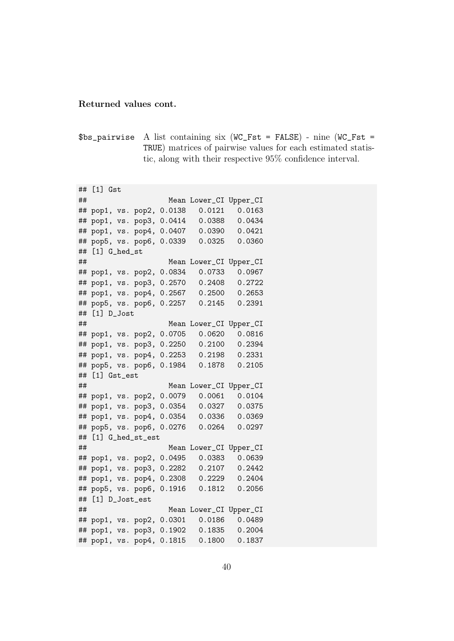#### Returned values cont.

\$bs\_pairwise A list containing six (WC\_Fst = FALSE) - nine (WC\_Fst = TRUE) matrices of pairwise values for each estimated statistic, along with their respective 95% confidence interval.

## [1] Gst ## Mean Lower\_CI Upper\_CI ## pop1, vs. pop2, 0.0138 0.0121 0.0163 ## pop1, vs. pop3, 0.0414 0.0388 0.0434 ## pop1, vs. pop4, 0.0407 0.0390 0.0421 ## pop5, vs. pop6, 0.0339 0.0325 0.0360 ## [1] G\_hed\_st ## Mean Lower\_CI Upper\_CI ## pop1, vs. pop2, 0.0834 0.0733 0.0967 ## pop1, vs. pop3, 0.2570 0.2408 0.2722 ## pop1, vs. pop4, 0.2567 0.2500 0.2653 ## pop5, vs. pop6, 0.2257 0.2145 0.2391 ## [1] D\_Jost ## Mean Lower\_CI Upper\_CI ## pop1, vs. pop2, 0.0705 0.0620 0.0816 ## pop1, vs. pop3, 0.2250 0.2100 0.2394 ## pop1, vs. pop4, 0.2253 0.2198 0.2331 ## pop5, vs. pop6, 0.1984 0.1878 0.2105 ## [1] Gst\_est ## Mean Lower\_CI Upper\_CI ## pop1, vs. pop2, 0.0079 0.0061 0.0104 ## pop1, vs. pop3, 0.0354 0.0327 0.0375 ## pop1, vs. pop4, 0.0354 0.0336 0.0369 ## pop5, vs. pop6, 0.0276 0.0264 0.0297 ## [1] G\_hed\_st\_est ## Mean Lower\_CI Upper\_CI ## pop1, vs. pop2, 0.0495 0.0383 0.0639 ## pop1, vs. pop3, 0.2282 0.2107 0.2442 ## pop1, vs. pop4, 0.2308 0.2229 0.2404 ## pop5, vs. pop6, 0.1916 0.1812 0.2056 ## [1] D\_Jost\_est ## Mean Lower\_CI Upper\_CI ## pop1, vs. pop2, 0.0301 0.0186 0.0489 ## pop1, vs. pop3, 0.1902 0.1835 0.2004 ## pop1, vs. pop4, 0.1815 0.1800 0.1837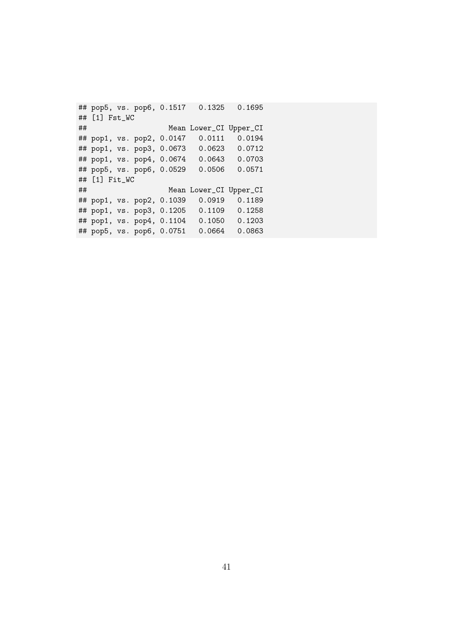## pop5, vs. pop6, 0.1517 0.1325 0.1695 ## [1] Fst\_WC ## Mean Lower\_CI Upper\_CI ## pop1, vs. pop2, 0.0147 0.0111 0.0194 ## pop1, vs. pop3, 0.0673 0.0623 0.0712 ## pop1, vs. pop4, 0.0674 0.0643 0.0703 ## pop5, vs. pop6, 0.0529 0.0506 0.0571 ## [1] Fit\_WC ## Mean Lower\_CI Upper\_CI ## pop1, vs. pop2, 0.1039 0.0919 0.1189 ## pop1, vs. pop3, 0.1205 0.1109 0.1258 ## pop1, vs. pop4, 0.1104 0.1050 0.1203 ## pop5, vs. pop6, 0.0751 0.0664 0.0863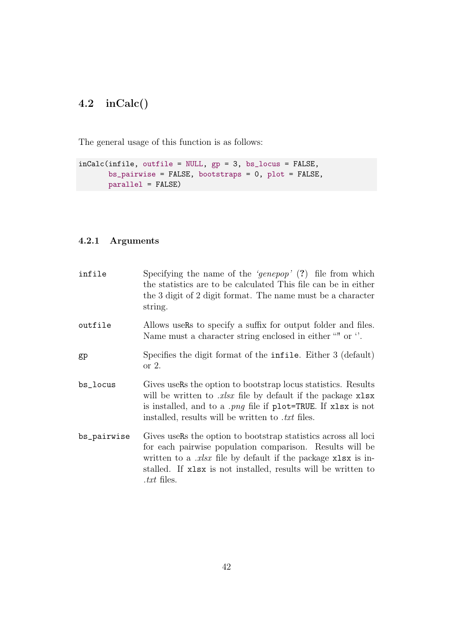# 4.2 inCalc()

The general usage of this function is as follows:

```
inCalc(infile, outfile = NULL, gp = 3, bs_locus = FALSE,
      bs_pairwise = FALSE, bootstraps = 0, plot = FALSE,
      parallel = FALSE)
```
# 4.2.1 Arguments

| infile      | Specifying the name of the 'genepop' $(?)$ file from which<br>the statistics are to be calculated This file can be in either<br>the 3 digit of 2 digit format. The name must be a character<br>string.                                                                                  |
|-------------|-----------------------------------------------------------------------------------------------------------------------------------------------------------------------------------------------------------------------------------------------------------------------------------------|
| outfile     | Allows users to specify a suffix for output folder and files.<br>Name must a character string enclosed in either "" or ".                                                                                                                                                               |
| gp          | Specifies the digit format of the infile. Either 3 (default)<br>or $2$ .                                                                                                                                                                                                                |
| bs_locus    | Gives users the option to bootstrap locus statistics. Results<br>will be written to <i>xlsx</i> file by default if the package $x \text{lsx}$<br>is installed, and to a <i>png</i> file if plot=TRUE. If xlsx is not<br>installed, results will be written to <i>txt</i> files.         |
| bs_pairwise | Gives users the option to bootstrap statistics across all loci<br>for each pairwise population comparison. Results will be<br>written to a $.x$ lsx file by default if the package $x$ lsx is in-<br>stalled. If xlsx is not installed, results will be written to<br><i>txt</i> files. |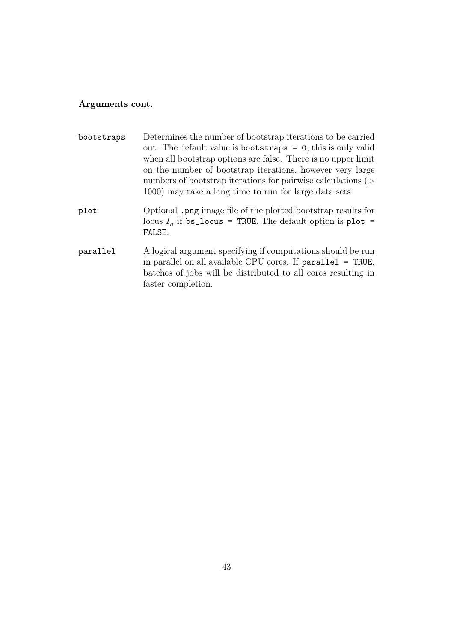## Arguments cont.

| bootstraps | Determines the number of bootstrap iterations to be carried<br>out. The default value is bootstraps $= 0$ , this is only valid<br>when all bootstrap options are false. There is no upper limit<br>on the number of bootstrap iterations, however very large<br>numbers of bootstrap iterations for pairwise calculations $($<br>1000) may take a long time to run for large data sets. |
|------------|-----------------------------------------------------------------------------------------------------------------------------------------------------------------------------------------------------------------------------------------------------------------------------------------------------------------------------------------------------------------------------------------|
| plot       | Optional .png image file of the plotted bootstrap results for<br>locus $I_n$ if bs_locus = TRUE. The default option is plot =<br>FALSE.                                                                                                                                                                                                                                                 |
| parallel   | A logical argument specifying if computations should be run<br>in parallel on all available CPU cores. If $parallel = TRUE$ ,<br>batches of jobs will be distributed to all cores resulting in<br>faster completion.                                                                                                                                                                    |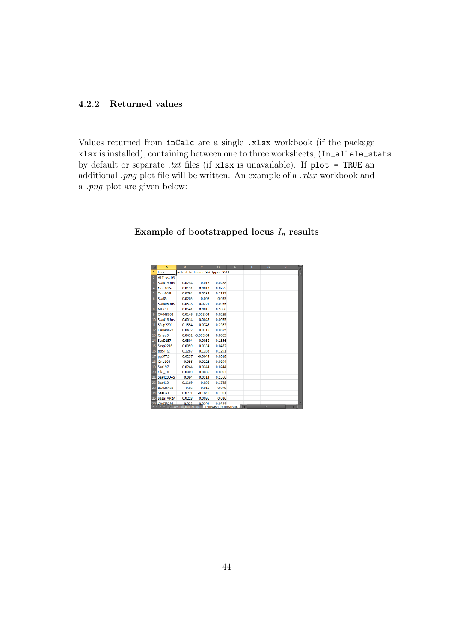## 4.2.2 Returned values

Values returned from inCalc are a single .xlsx workbook (if the package xlsx is installed), containing between one to three worksheets, (In\_allele\_stats by default or separate *.txt* files (if xlsx is unavailable). If plot = TRUE an additional *.png* plot file will be written. An example of a *.xlsx* workbook and a *.png* plot are given below:

|                | A                               | <sub>B</sub>              | C                     | D                                | E | F | G | н |    | ⊏ |
|----------------|---------------------------------|---------------------------|-----------------------|----------------------------------|---|---|---|---|----|---|
| 1              | Loci                            |                           |                       | Actual In Lower 95 Upper 95Cl    |   |   |   |   |    | E |
| $\overline{2}$ | ALT, vs. LG,                    |                           |                       |                                  |   |   |   |   |    |   |
| $\overline{3}$ | Ssa419UoS                       | 0.0234                    | 0.018                 | 0.0288                           |   |   |   |   |    |   |
| 4              | One102a                         | 0.0131                    | $-0.0013$             | 0.0275                           |   |   |   |   |    |   |
| 5              | One102b                         | 0.0794                    | $-0.0534$             | 0.2122                           |   |   |   |   |    |   |
| 6              | Ssa85                           | 0.0205                    | 0.008                 | 0.033                            |   |   |   |   |    |   |
| $\overline{7}$ | Ssa406UoS                       | 0.0578                    | 0.0221                | 0.0935                           |   |   |   |   |    |   |
| 8              | MHC I                           | 0.0541                    | 0.0016                | 0.1066                           |   |   |   |   |    |   |
| 9              | CA048302                        | 0.0146                    | 3.00E-04              | 0.0289                           |   |   |   |   |    |   |
| 10             | Ssa416Uos                       | 0.0014                    | $-0.0047$             | 0.0075                           |   |   |   |   |    |   |
| 11             | <b>SSsp2201</b>                 | 0.1554                    | 0.0745                | 0.2363                           |   |   |   |   |    |   |
| 12             | CA048828                        | 0.0472                    | 0.0119                | 0.0825                           |   |   |   |   |    |   |
| 13             | Oneu9                           |                           | $0.0431 - 3.00E - 04$ | 0.0865                           |   |   |   |   |    |   |
| 14             | <b>SsaD157</b>                  | 0.0804                    | 0.0052                | 0.1556                           |   |   |   |   |    |   |
| 15             | <b>Sssp2216</b>                 | 0.0059                    | $-0.0334$             | 0.0452                           |   |   |   |   |    |   |
| 16             | ppSTR2                          | 0.1287                    | 0.1283                | 0.1291                           |   |   |   |   |    |   |
| 17             | ppSTR3                          | 0.0237                    | $-0.0044$             | 0.0518                           |   |   |   |   |    |   |
| 18             | <b>One104</b>                   | 0.056                     | 0.0226                | 0.0894                           |   |   |   |   |    |   |
| 19             | <b>Ssa197</b>                   | 0.0244                    | 0.0244                | 0.0244                           |   |   |   |   |    |   |
| 20             | Oki 10                          | 0.0889                    | 0.0885                | 0.0893                           |   |   |   |   |    |   |
| 21             | Ssa420UoS                       | 0.084                     | 0.0314                | 0.1366                           |   |   |   |   |    |   |
| 22             | <b>Ssa410</b>                   | 0.1169                    | 0.055                 | 0.1788                           |   |   |   |   |    |   |
| 23             | BG935488                        | 0.03                      | $-0.019$              | 0.079                            |   |   |   |   |    |   |
| 24             | SsaD71                          | 0.0271                    | $-0.1049$             | 0.1591                           |   |   |   |   |    |   |
| 25             | SasaTAP2A                       | 0.0228                    | 0.0096                | 0.036                            |   |   |   |   |    |   |
|                | 26 CA053293<br>$M \leftarrow N$ | 0.022<br>Overal Bootstrap | 0.0201                | 0.0239<br>Pairwise bootstraps 14 |   |   | m |   | ١П |   |

## Example of bootstrapped locus  $I_n$  results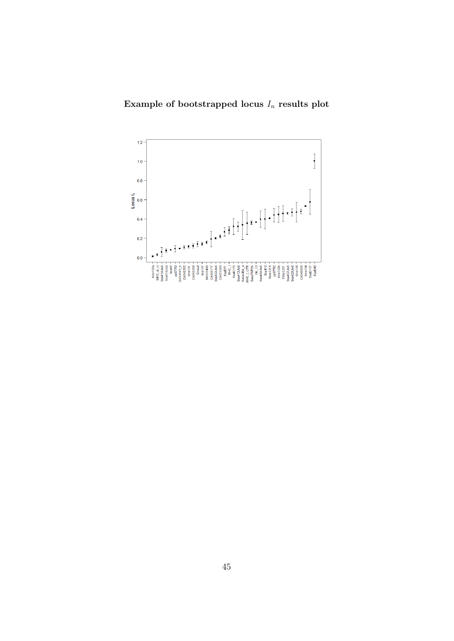# Example of bootstrapped locus  $\mathcal{I}_n$  results plot

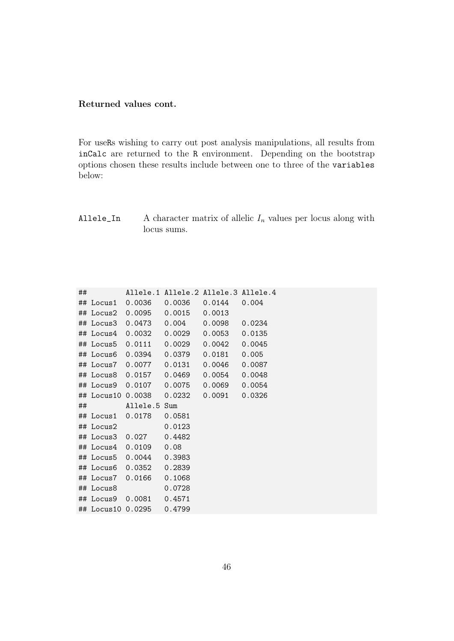### Returned values cont.

For useRs wishing to carry out post analysis manipulations, all results from inCalc are returned to the R environment. Depending on the bootstrap options chosen these results include between one to three of the variables below:

Allele\_In A character matrix of allelic  $I_n$  values per locus along with locus sums.

| ## |           |                         | Allele.1 Allele.2 Allele.3 Allele.4       |  |
|----|-----------|-------------------------|-------------------------------------------|--|
|    |           |                         | ## Locus1 0.0036 0.0036 0.0144 0.004      |  |
|    |           |                         | ## Locus2 0.0095 0.0015 0.0013            |  |
|    |           |                         | ## Locus3 0.0473 0.004 0.0098 0.0234      |  |
|    |           |                         | ## Locus4 0.0032 0.0029 0.0053 0.0135     |  |
|    |           |                         | ## Locus5 0.0111 0.0029 0.0042 0.0045     |  |
|    |           |                         |                                           |  |
|    |           |                         | ## Locus7 0.0077 0.0131 0.0046 0.0087     |  |
|    |           |                         | ## Locus8 0.0157  0.0469  0.0054  0.0048  |  |
|    |           |                         | ## Locus9 0.0107 0.0075 0.0069 0.0054     |  |
|    |           |                         | ## Locus10 0.0038  0.0232  0.0091  0.0326 |  |
|    |           |                         |                                           |  |
|    |           | ## Allele.5 Sum         |                                           |  |
|    |           | ## Locus1 0.0178 0.0581 |                                           |  |
|    | ## Locus2 |                         | 0.0123                                    |  |
|    |           | ## Locus3 0.027 0.4482  |                                           |  |
|    |           | ## Locus4 0.0109 0.08   |                                           |  |
|    |           | ## Locus5 0.0044 0.3983 |                                           |  |
|    |           | ## Locus6 0.0352 0.2839 |                                           |  |
|    |           | ## Locus7 0.0166 0.1068 |                                           |  |
|    | ## Locus8 |                         | 0.0728                                    |  |
|    |           | ## Locus9 0.0081 0.4571 |                                           |  |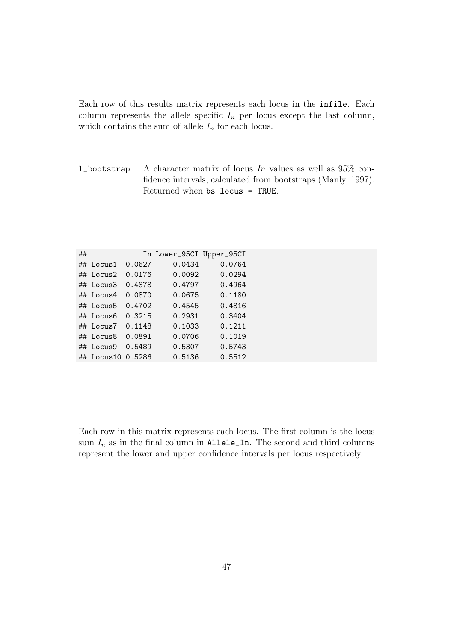Each row of this results matrix represents each locus in the infile. Each column represents the allele specific  $I_n$  per locus except the last column, which contains the sum of allele  $I_n$  for each locus.

l\_bootstrap A character matrix of locus *In* values as well as 95% confidence intervals, calculated from bootstraps (Manly, 1997). Returned when bs\_locus = TRUE.

| ## |                         |        | In Lower_95CI Upper_95CI |        |
|----|-------------------------|--------|--------------------------|--------|
|    | $\#$ Locus1             | 0.0627 | 0.0434                   | 0.0764 |
|    | ## Locus2               | 0.0176 | 0.0092                   | 0.0294 |
|    | $\#$ Locus3             | 0.4878 | 0.4797                   | 0.4964 |
|    | ## Locus4               | 0.0870 | 0.0675                   | 0.1180 |
|    | ## Locus5               | 0.4702 | 0.4545                   | 0.4816 |
|    | $\#$ Locus <sub>6</sub> | 0.3215 | 0.2931                   | 0.3404 |
|    | ## Locus7               | 0.1148 | 0.1033                   | 0.1211 |
|    | ## Locus8               | 0.0891 | 0.0706                   | 0.1019 |
|    | ## Locus9               | 0.5489 | 0.5307                   | 0.5743 |
|    | ## Locus10              | 0.5286 | 0.5136                   | 0.5512 |

Each row in this matrix represents each locus. The first column is the locus sum  $I_n$  as in the final column in Allele\_In. The second and third columns represent the lower and upper confidence intervals per locus respectively.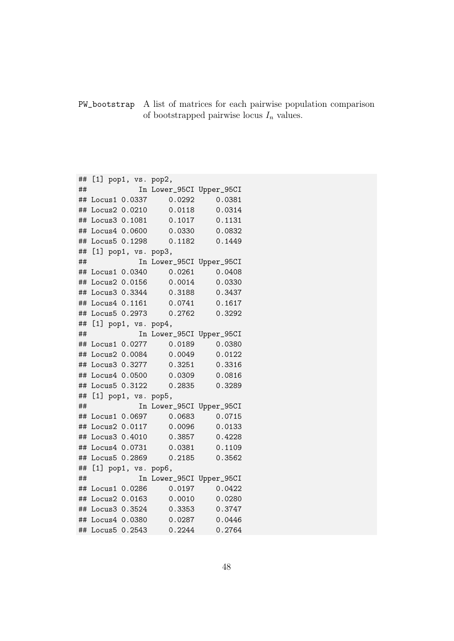PW\_bootstrap A list of matrices for each pairwise population comparison of bootstrapped pairwise locus  $I_n$  values.

## [1] pop1, vs. pop2, ## In Lower\_95CI Upper\_95CI ## Locus1 0.0337 0.0292 0.0381 ## Locus2 0.0210 0.0118 0.0314 ## Locus3 0.1081 0.1017 0.1131 ## Locus4 0.0600 0.0330 0.0832 ## Locus5 0.1298 0.1182 0.1449 ## [1] pop1, vs. pop3, ## In Lower\_95CI Upper\_95CI ## Locus1 0.0340 0.0261 0.0408 ## Locus2 0.0156 0.0014 0.0330 ## Locus3 0.3344 0.3188 0.3437 ## Locus4 0.1161 0.0741 0.1617 ## Locus5 0.2973 0.2762 0.3292 ## [1] pop1, vs. pop4, ## In Lower\_95CI Upper\_95CI ## Locus1 0.0277 0.0189 0.0380 ## Locus2 0.0084 0.0049 0.0122 ## Locus3 0.3277 0.3251 0.3316 ## Locus4 0.0500 0.0309 0.0816 ## Locus5 0.3122 0.2835 0.3289 ## [1] pop1, vs. pop5, ## In Lower\_95CI Upper\_95CI ## Locus1 0.0697 0.0683 0.0715 ## Locus2 0.0117 0.0096 0.0133 ## Locus3 0.4010 0.3857 0.4228 ## Locus4 0.0731 0.0381 0.1109 ## Locus5 0.2869 0.2185 0.3562 ## [1] pop1, vs. pop6, ## In Lower\_95CI Upper\_95CI ## Locus1 0.0286 0.0197 0.0422 ## Locus2 0.0163 0.0010 0.0280 ## Locus3 0.3524 0.3353 0.3747 ## Locus4 0.0380 0.0287 0.0446 ## Locus5 0.2543 0.2244 0.2764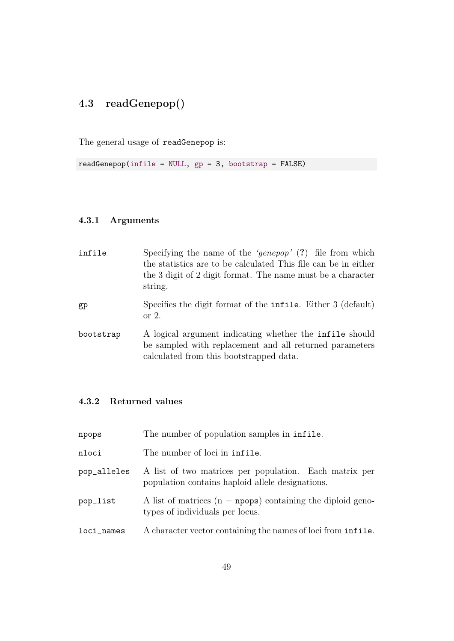# 4.3 readGenepop()

The general usage of readGenepop is:

 $readGenepop(intile = NULL, gp = 3, bootstrap = FALSE)$ 

## 4.3.1 Arguments

| infile    | Specifying the name of the 'genepop' $(?)$ file from which<br>the statistics are to be calculated This file can be in either<br>the 3 digit of 2 digit format. The name must be a character<br>string. |
|-----------|--------------------------------------------------------------------------------------------------------------------------------------------------------------------------------------------------------|
| gp        | Specifies the digit format of the <b>infile</b> . Either 3 (default)<br>or $2$ .                                                                                                                       |
| bootstrap | A logical argument indicating whether the <b>infile</b> should<br>be sampled with replacement and all returned parameters<br>calculated from this bootstrapped data.                                   |

# 4.3.2 Returned values

| npops       | The number of population samples in infile.                                                                |
|-------------|------------------------------------------------------------------------------------------------------------|
| nloci       | The number of loci in infile.                                                                              |
| pop_alleles | A list of two matrices per population. Each matrix per<br>population contains haploid allele designations. |
| pop_list    | A list of matrices ( $n =$ npops) containing the diploid geno-<br>types of individuals per locus.          |
| loci_names  | A character vector containing the names of loci from infile.                                               |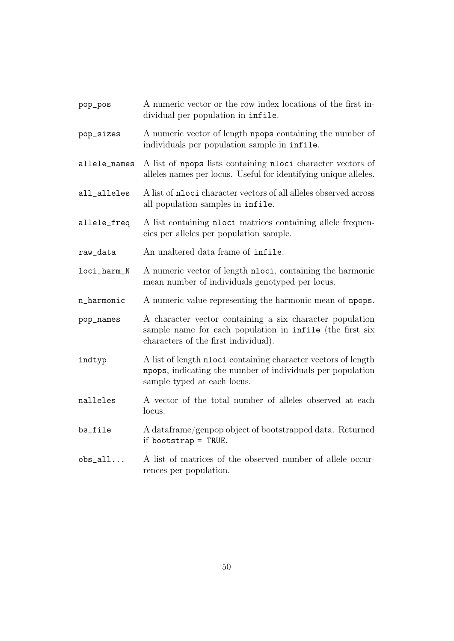| pop_pos      | A numeric vector or the row index locations of the first in-<br>dividual per population in infile.                                                           |
|--------------|--------------------------------------------------------------------------------------------------------------------------------------------------------------|
| pop_sizes    | A numeric vector of length npops containing the number of<br>individuals per population sample in infile.                                                    |
| allele_names | A list of npops lists containing nloci character vectors of<br>alleles names per locus. Useful for identifying unique alleles.                               |
| all_alleles  | A list of nloci character vectors of all alleles observed across<br>all population samples in infile.                                                        |
| allele_freq  | A list containing <b>nloci</b> matrices containing allele frequen-<br>cies per alleles per population sample.                                                |
| raw_data     | An unaltered data frame of infile.                                                                                                                           |
| loci_harm_N  | A numeric vector of length nloci, containing the harmonic<br>mean number of individuals genotyped per locus.                                                 |
| n_harmonic   | A numeric value representing the harmonic mean of npops.                                                                                                     |
| pop_names    | A character vector containing a six character population<br>sample name for each population in infile (the first six<br>characters of the first individual). |
| indtyp       | A list of length nloci containing character vectors of length<br>npops, indicating the number of individuals per population<br>sample typed at each locus.   |
| nalleles     | A vector of the total number of alleles observed at each<br>locus.                                                                                           |
| bs_file      | A dataframe/genpop object of bootstrapped data. Returned<br>if bootstrap = TRUE.                                                                             |
| $obs_all$    | A list of matrices of the observed number of allele occur-<br>rences per population                                                                          |

- 
- rences per population.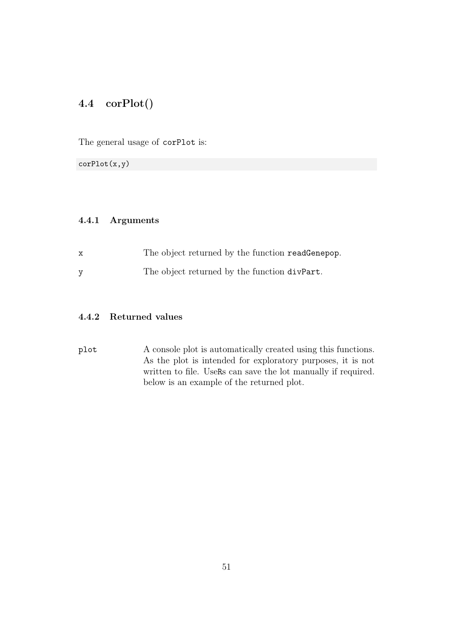# 4.4 corPlot()

The general usage of corPlot is:

corPlot(x,y)

#### 4.4.1 Arguments

- x The object returned by the function readGenepop.
- y The object returned by the function divPart.

## 4.4.2 Returned values

plot A console plot is automatically created using this functions. As the plot is intended for exploratory purposes, it is not written to file. UseRs can save the lot manually if required. below is an example of the returned plot.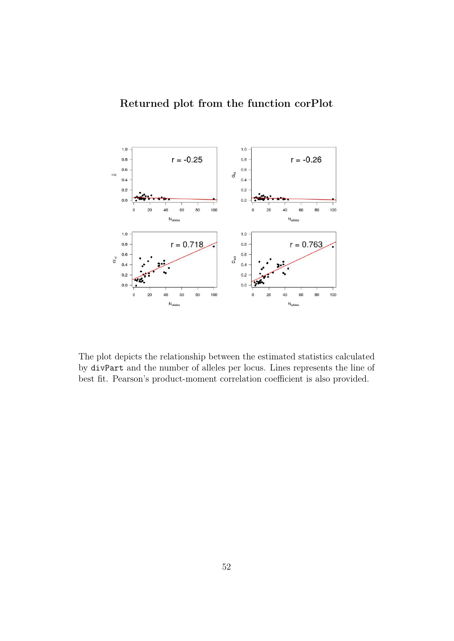

The plot depicts the relationship between the estimated statistics calculated by divPart and the number of alleles per locus. Lines represents the line of best fit. Pearson's product-moment correlation coefficient is also provided.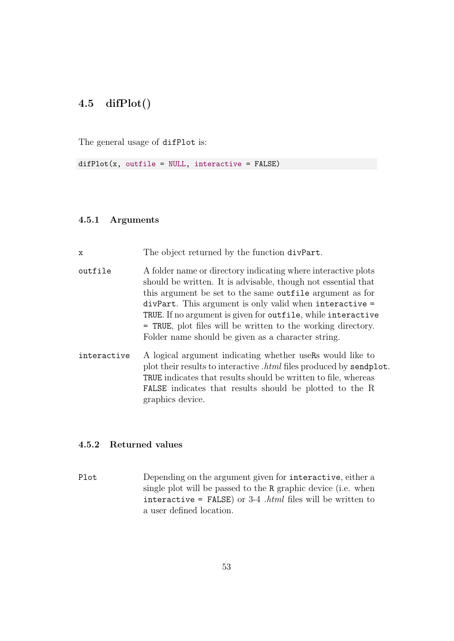# 4.5 difPlot()

The general usage of difPlot is:

 $diffPlot(x, outfile = NULL, interactive = FALSE)$ 

#### 4.5.1 Arguments

x The object returned by the function divPart.

- outfile A folder name or directory indicating where interactive plots should be written. It is advisable, though not essential that this argument be set to the same outfile argument as for divPart. This argument is only valid when interactive = TRUE. If no argument is given for outfile, while interactive = TRUE, plot files will be written to the working directory. Folder name should be given as a character string.
- interactive A logical argument indicating whether useRs would like to plot their results to interactive *.html* files produced by sendplot. TRUE indicates that results should be written to file, whereas FALSE indicates that results should be plotted to the R graphics device.

#### 4.5.2 Returned values

Plot Depending on the argument given for interactive, either a single plot will be passed to the R graphic device (i.e. when interactive = FALSE) or 3-4 *.html* files will be written to a user defined location.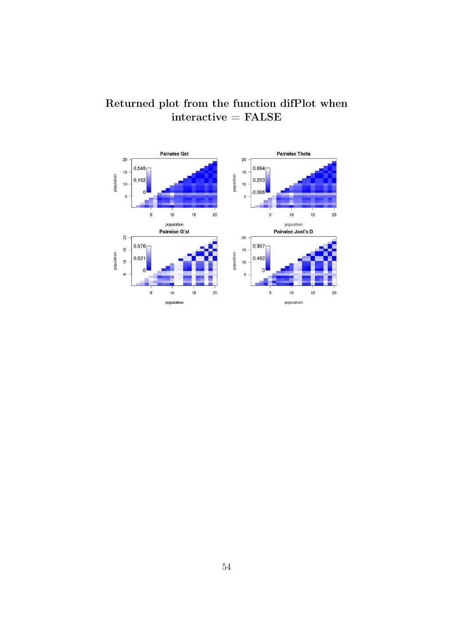

# Returned plot from the function difPlot when  $interactive = FALSE$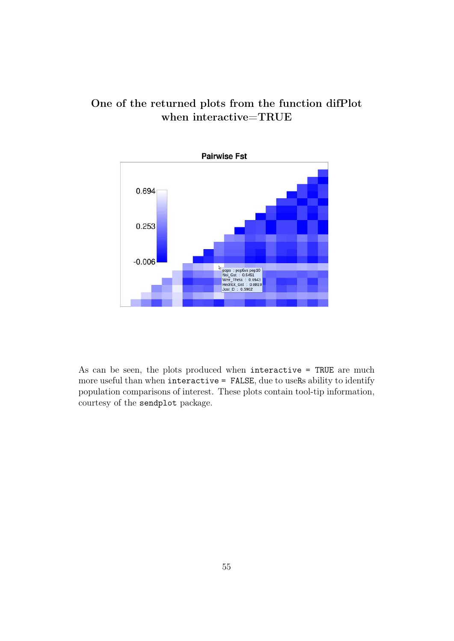# One of the returned plots from the function difPlot when interactive=TRUE



As can be seen, the plots produced when interactive = TRUE are much more useful than when interactive = FALSE, due to useRs ability to identify population comparisons of interest. These plots contain tool-tip information, courtesy of the sendplot package.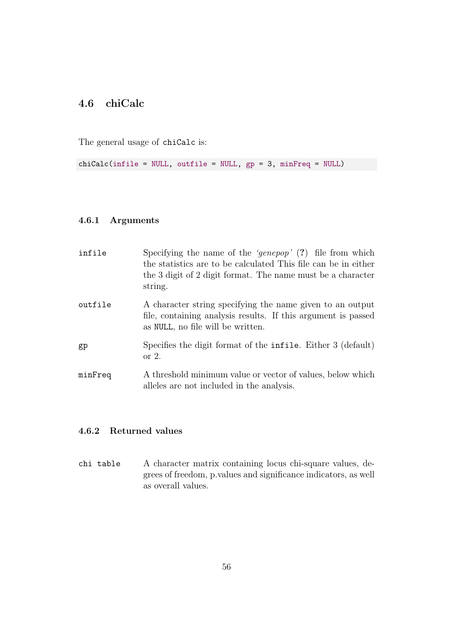# 4.6 chiCalc

The general usage of chiCalc is:

chiCalc(infile = NULL, outfile = NULL, gp = 3, minFreq = NULL)

#### 4.6.1 Arguments

| infile  | Specifying the name of the 'genepop' $(?)$ file from which<br>the statistics are to be calculated This file can be in either<br>the 3 digit of 2 digit format. The name must be a character<br>string. |
|---------|--------------------------------------------------------------------------------------------------------------------------------------------------------------------------------------------------------|
| outfile | A character string specifying the name given to an output<br>file, containing analysis results. If this argument is passed<br>as NULL, no file will be written.                                        |
| gp      | Specifies the digit format of the infile. Either 3 (default)<br>or $2$ .                                                                                                                               |
| minFreq | A threshold minimum value or vector of values, below which<br>alleles are not included in the analysis.                                                                                                |

## 4.6.2 Returned values

chi table A character matrix containing locus chi-square values, degrees of freedom, p.values and significance indicators, as well as overall values.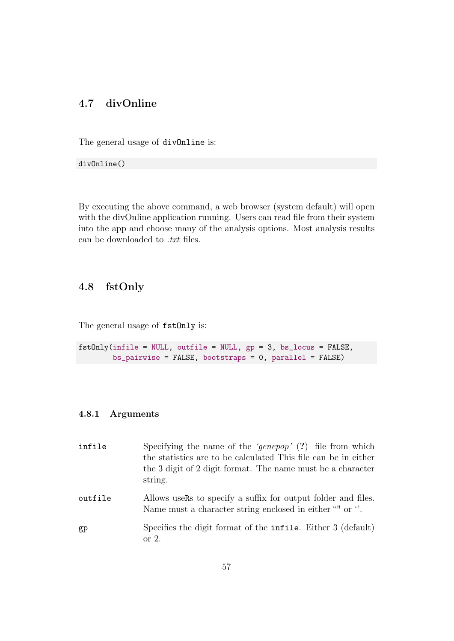# 4.7 divOnline

The general usage of divOnline is:

divOnline()

By executing the above command, a web browser (system default) will open with the divOnline application running. Users can read file from their system into the app and choose many of the analysis options. Most analysis results can be downloaded to *.txt* files.

## 4.8 fstOnly

The general usage of  $fstOnly$  is:

fstOnly(infile = NULL, outfile = NULL, gp = 3, bs\_locus = FALSE, bs\_pairwise = FALSE, bootstraps = 0, parallel = FALSE)

### 4.8.1 Arguments

| infile  | Specifying the name of the 'genepop' $(?)$ file from which<br>the statistics are to be calculated This file can be in either<br>the 3 digit of 2 digit format. The name must be a character<br>string. |
|---------|--------------------------------------------------------------------------------------------------------------------------------------------------------------------------------------------------------|
| outfile | Allows users to specify a suffix for output folder and files.<br>Name must a character string enclosed in either "" or ".                                                                              |
| gp      | Specifies the digit format of the <b>infile</b> . Either 3 (default)<br>or $2$ .                                                                                                                       |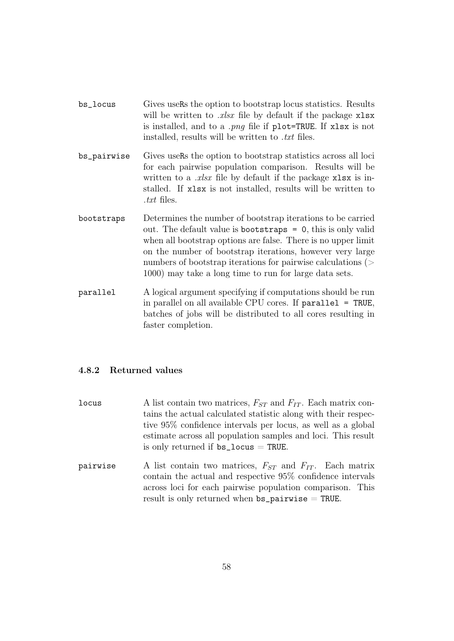- bs\_locus Gives useRs the option to bootstrap locus statistics. Results will be written to *.xlsx* file by default if the package xlsx is installed, and to a *.png* file if plot=TRUE. If xlsx is not installed, results will be written to *.txt* files.
- bs\_pairwise Gives useRs the option to bootstrap statistics across all loci for each pairwise population comparison. Results will be written to a *.xlsx* file by default if the package xlsx is installed. If xlsx is not installed, results will be written to *.txt* files.
- bootstraps Determines the number of bootstrap iterations to be carried out. The default value is bootstraps = 0, this is only valid when all bootstrap options are false. There is no upper limit on the number of bootstrap iterations, however very large numbers of bootstrap iterations for pairwise calculations (> 1000) may take a long time to run for large data sets.
- parallel A logical argument specifying if computations should be run in parallel on all available CPU cores. If parallel = TRUE, batches of jobs will be distributed to all cores resulting in faster completion.

#### 4.8.2 Returned values

- locus A list contain two matrices,  $F_{ST}$  and  $F_{IT}$ . Each matrix contains the actual calculated statistic along with their respective 95% confidence intervals per locus, as well as a global estimate across all population samples and loci. This result is only returned if  $bs\_locus = TRUE$ .
- pairwise A list contain two matrices,  $F_{ST}$  and  $F_{IT}$ . Each matrix contain the actual and respective 95% confidence intervals across loci for each pairwise population comparison. This result is only returned when  $bs\_pairwise = TRUE$ .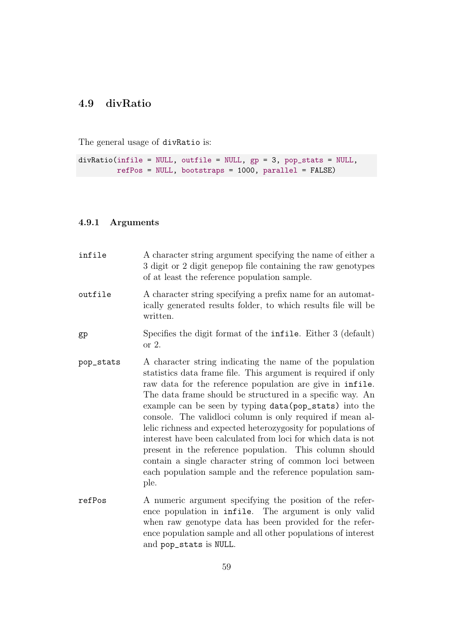## 4.9 divRatio

The general usage of divRatio is:

```
divRatio(infile = NULL, outfile = NULL, gp = 3, pop_stats = NULL,
         refPos = NULL, bootstraps = 1000, parallel = FALSE)
```
#### 4.9.1 Arguments

infile A character string argument specifying the name of either a 3 digit or 2 digit genepop file containing the raw genotypes of at least the reference population sample. outfile A character string specifying a prefix name for an automatically generated results folder, to which results file will be written. gp Specifies the digit format of the infile. Either 3 (default) or 2. pop\_stats A character string indicating the name of the population statistics data frame file. This argument is required if only raw data for the reference population are give in infile. The data frame should be structured in a specific way. An example can be seen by typing data(pop\_stats) into the console. The validloci column is only required if mean allelic richness and expected heterozygosity for populations of interest have been calculated from loci for which data is not present in the reference population. This column should contain a single character string of common loci between each population sample and the reference population sample. refPos A numeric argument specifying the position of the reference population in infile. The argument is only valid when raw genotype data has been provided for the refer-

and pop\_stats is NULL.

ence population sample and all other populations of interest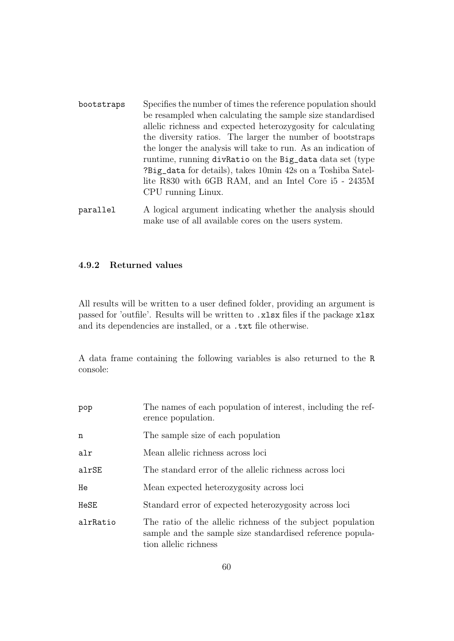- bootstraps Specifies the number of times the reference population should be resampled when calculating the sample size standardised allelic richness and expected heterozygosity for calculating the diversity ratios. The larger the number of bootstraps the longer the analysis will take to run. As an indication of runtime, running divRatio on the Big\_data data set (type ?Big\_data for details), takes 10min 42s on a Toshiba Satellite R830 with 6GB RAM, and an Intel Core i5 - 2435M CPU running Linux.
- parallel A logical argument indicating whether the analysis should make use of all available cores on the users system.

#### 4.9.2 Returned values

All results will be written to a user defined folder, providing an argument is passed for 'outfile'. Results will be written to .xlsx files if the package xlsx and its dependencies are installed, or a .txt file otherwise.

A data frame containing the following variables is also returned to the R console:

| pop      | The names of each population of interest, including the ref-<br>erence population.                                                                |  |  |
|----------|---------------------------------------------------------------------------------------------------------------------------------------------------|--|--|
| n        | The sample size of each population                                                                                                                |  |  |
| alr      | Mean allelic richness across loci                                                                                                                 |  |  |
| alrSE    | The standard error of the allelic richness across loci                                                                                            |  |  |
| He       | Mean expected heterozygosity across loci                                                                                                          |  |  |
| HeSE     | Standard error of expected heterozygosity across loci                                                                                             |  |  |
| alrRatio | The ratio of the allelic richness of the subject population<br>sample and the sample size standardised reference popula-<br>tion allelic richness |  |  |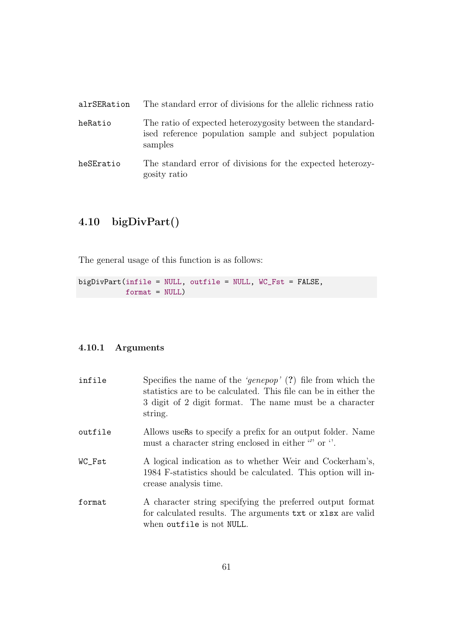| alrSERation | The standard error of divisions for the allelic richness ratio                                                                   |
|-------------|----------------------------------------------------------------------------------------------------------------------------------|
| heRatio     | The ratio of expected heterozygosity between the standard-<br>ised reference population sample and subject population<br>samples |
| heSEratio   | The standard error of divisions for the expected heterozy-<br>gosity ratio                                                       |

# 4.10 bigDivPart()

The general usage of this function is as follows:

bigDivPart(infile = NULL, outfile = NULL, WC\_Fst = FALSE, format = NULL)

## 4.10.1 Arguments

| infile  | Specifies the name of the 'genepop' $(?)$ file from which the<br>statistics are to be calculated. This file can be in either the<br>3 digit of 2 digit format. The name must be a character<br>string. |
|---------|--------------------------------------------------------------------------------------------------------------------------------------------------------------------------------------------------------|
| outfile | Allows users to specify a prefix for an output folder. Name<br>must a character string enclosed in either "" or ".                                                                                     |
| WC_Fst  | A logical indication as to whether Weir and Cockerham's,<br>1984 F-statistics should be calculated. This option will in-<br>crease analysis time.                                                      |
| format  | A character string specifying the preferred output format<br>for calculated results. The arguments txt or xlsx are valid<br>when outfile is not NULL.                                                  |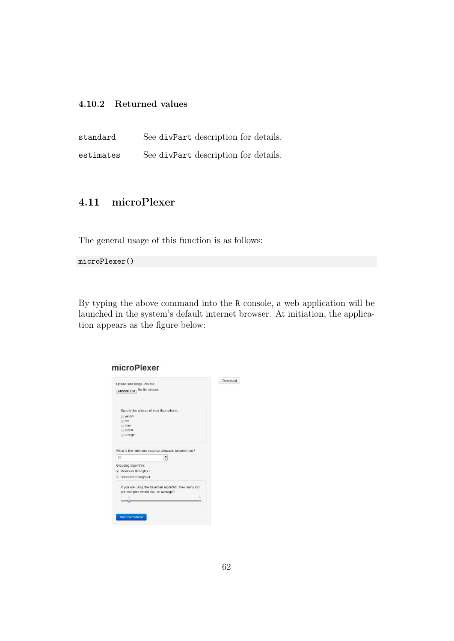### 4.10.2 Returned values

standard See divPart description for details. estimates See divPart description for details.

## 4.11 microPlexer

The general usage of this function is as follows:

microPlexer()

By typing the above command into the R console, a web application will be launched in the system's default internet browser. At initiation, the application appears as the figure below:

| No file chosen<br>Specify the colours of your fluorophores<br>wellow<br>red<br>blue<br>green<br>orange<br>$\blacktriangle$<br>۰<br>If you are using the balanced algorithm, how many loci<br>per multiplex would like, on average?<br>10<br>100<br>is. | Upload size range .csv file                                | Download |
|--------------------------------------------------------------------------------------------------------------------------------------------------------------------------------------------------------------------------------------------------------|------------------------------------------------------------|----------|
|                                                                                                                                                                                                                                                        | Choose File                                                |          |
|                                                                                                                                                                                                                                                        |                                                            |          |
|                                                                                                                                                                                                                                                        |                                                            |          |
|                                                                                                                                                                                                                                                        |                                                            |          |
|                                                                                                                                                                                                                                                        |                                                            |          |
|                                                                                                                                                                                                                                                        |                                                            |          |
|                                                                                                                                                                                                                                                        |                                                            |          |
|                                                                                                                                                                                                                                                        |                                                            |          |
|                                                                                                                                                                                                                                                        | What is the minimum distance allowable between loci?<br>20 |          |
|                                                                                                                                                                                                                                                        | Grouping algorithm:                                        |          |
|                                                                                                                                                                                                                                                        | · Maximum throughput                                       |          |
|                                                                                                                                                                                                                                                        | Balanced throughput                                        |          |
|                                                                                                                                                                                                                                                        |                                                            |          |
|                                                                                                                                                                                                                                                        |                                                            |          |
|                                                                                                                                                                                                                                                        |                                                            |          |
|                                                                                                                                                                                                                                                        |                                                            |          |
|                                                                                                                                                                                                                                                        |                                                            |          |

#### microPlexer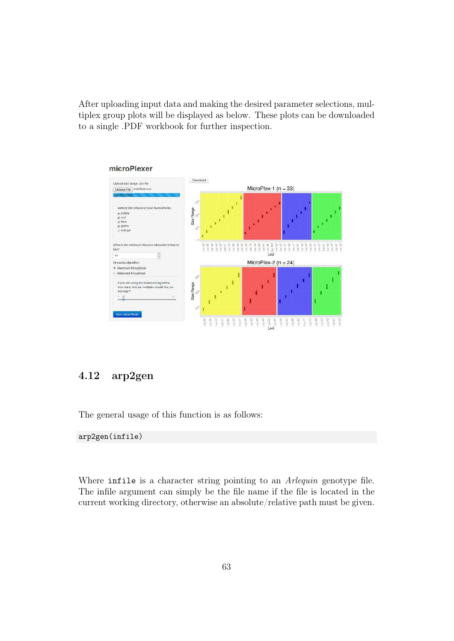After uploading input data and making the desired parameter selections, multiplex group plots will be displayed as below. These plots can be downloaded to a single .PDF workbook for further inspection.



#### microPlexer

## 4.12 arp2gen

The general usage of this function is as follows:

#### arp2gen(infile)

Where infile is a character string pointing to an *Arlequin* genotype file. The infile argument can simply be the file name if the file is located in the current working directory, otherwise an absolute/relative path must be given.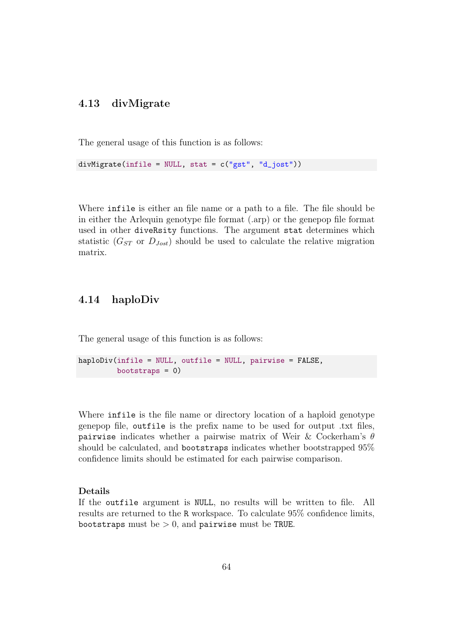## 4.13 divMigrate

The general usage of this function is as follows:

divMigrate(infile = NULL, stat =  $c("gst", "d_jost")$ )

Where infile is either an file name or a path to a file. The file should be in either the Arlequin genotype file format (.arp) or the genepop file format used in other diveRsity functions. The argument stat determines which statistic ( $G_{ST}$  or  $D_{Jost}$ ) should be used to calculate the relative migration matrix.

## 4.14 haploDiv

The general usage of this function is as follows:

```
haploDiv(infile = NULL, outfile = NULL, pairwise = FALSE,
         bootstraps = 0)
```
Where infile is the file name or directory location of a haploid genotype genepop file, outfile is the prefix name to be used for output .txt files, pairwise indicates whether a pairwise matrix of Weir & Cockerham's  $\theta$ should be calculated, and bootstraps indicates whether bootstrapped 95% confidence limits should be estimated for each pairwise comparison.

#### Details

If the outfile argument is NULL, no results will be written to file. All results are returned to the R workspace. To calculate 95% confidence limits, bootstraps must be  $> 0$ , and pairwise must be TRUE.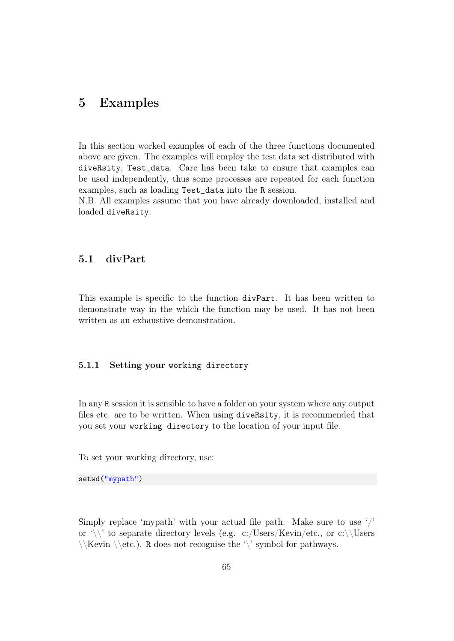# 5 Examples

In this section worked examples of each of the three functions documented above are given. The examples will employ the test data set distributed with diveRsity, Test\_data. Care has been take to ensure that examples can be used independently, thus some processes are repeated for each function examples, such as loading Test\_data into the R session.

N.B. All examples assume that you have already downloaded, installed and loaded diveRsity.

## 5.1 divPart

This example is specific to the function divPart. It has been written to demonstrate way in the which the function may be used. It has not been written as an exhaustive demonstration.

#### 5.1.1 Setting your working directory

In any R session it is sensible to have a folder on your system where any output files etc. are to be written. When using diveRsity, it is recommended that you set your working directory to the location of your input file.

To set your working directory, use:

setwd("mypath")

Simply replace 'mypath' with your actual file path. Make sure to use '/' or  $\setminus$  to separate directory levels (e.g. c:/Users/Kevin/etc., or c:\\Users  $\{\ker i \colon \delta \to \infty\}$ . R does not recognise the '\' symbol for pathways.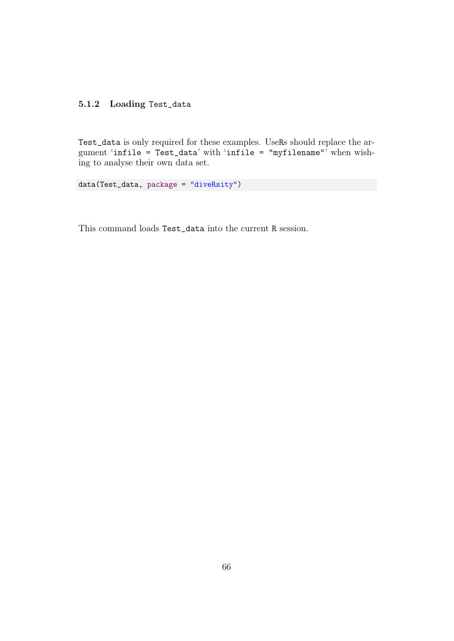## 5.1.2 Loading Test\_data

Test\_data is only required for these examples. UseRs should replace the argument 'infile = Test\_data' with 'infile = "myfilename"' when wishing to analyse their own data set.

data(Test\_data, package = "diveRsity")

This command loads Test\_data into the current R session.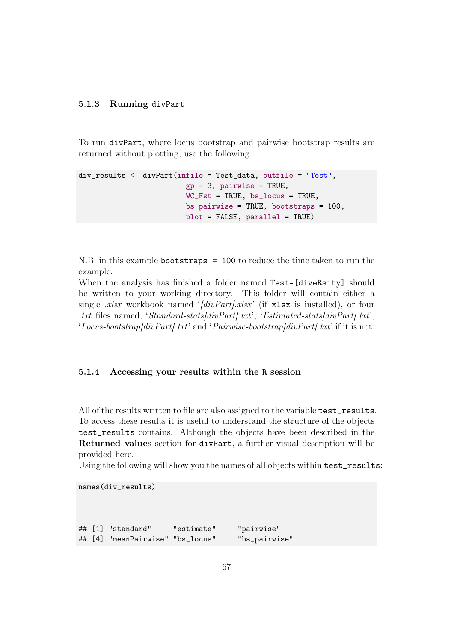#### 5.1.3 Running divPart

To run divPart, where locus bootstrap and pairwise bootstrap results are returned without plotting, use the following:

```
div_results <- divPart(infile = Test_data, outfile = "Test",
                         gp = 3, pairwise = TRUE,
                         WC_Fst = TRUE, bs_locus = TRUE,
                         bs\_pairwise = TRUE, bootstraps = 100,plot = FALSE, parallel = TRUE)
```
N.B. in this example bootstraps = 100 to reduce the time taken to run the example.

When the analysis has finished a folder named Test-[diveRsity] should be written to your working directory. This folder will contain either a single *.xlsx* workbook named '*[divPart].xlsx* ' (if xlsx is installed), or four *.txt* files named, '*Standard-stats[divPart].txt*', '*Estimated-stats[divPart].txt*', '*Locus-bootstrap[divPart].txt*' and '*Pairwise-bootstrap[divPart].txt*' if it is not.

#### 5.1.4 Accessing your results within the R session

All of the results written to file are also assigned to the variable test\_results. To access these results it is useful to understand the structure of the objects test\_results contains. Although the objects have been described in the Returned values section for divPart, a further visual description will be provided here.

Using the following will show you the names of all objects within test\_results:

```
names(div_results)
## [1] "standard" "estimate" "pairwise"
## [4] "meanPairwise" "bs_locus" "bs_pairwise"
```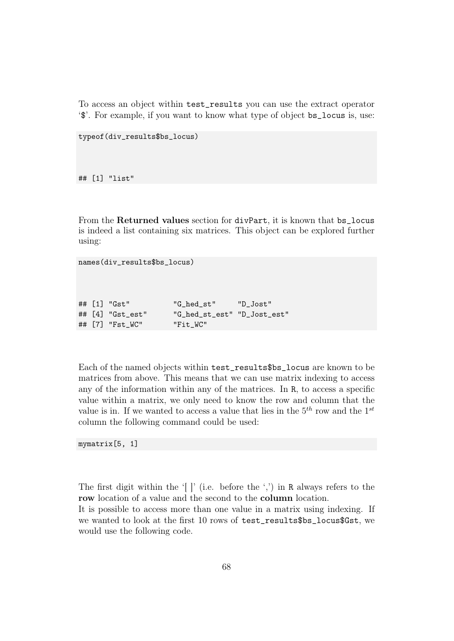To access an object within test\_results you can use the extract operator '\$'. For example, if you want to know what type of object bs\_locus is, use:

```
typeof(div_results$bs_locus)
```
## [1] "list"

From the Returned values section for divPart, it is known that bs\_locus is indeed a list containing six matrices. This object can be explored further using:

```
names(div_results$bs_locus)
```

|  | ## [1] "Gst"         | "G hed st" | "D Jost" |
|--|----------------------|------------|----------|
|  | ## $[4]$ "Gst_est"   |            |          |
|  | ## $[7]$ " $Fst_WC"$ | "Fit WC"   |          |

Each of the named objects within test\_results\$bs\_locus are known to be matrices from above. This means that we can use matrix indexing to access any of the information within any of the matrices. In R, to access a specific value within a matrix, we only need to know the row and column that the value is in. If we wanted to access a value that lies in the  $5<sup>th</sup>$  row and the  $1<sup>st</sup>$ column the following command could be used:

mymatrix[5, 1]

The first digit within the '[ ]' (i.e. before the ',') in R always refers to the row location of a value and the second to the column location.

It is possible to access more than one value in a matrix using indexing. If we wanted to look at the first 10 rows of test\_results\$bs\_locus\$Gst, we would use the following code.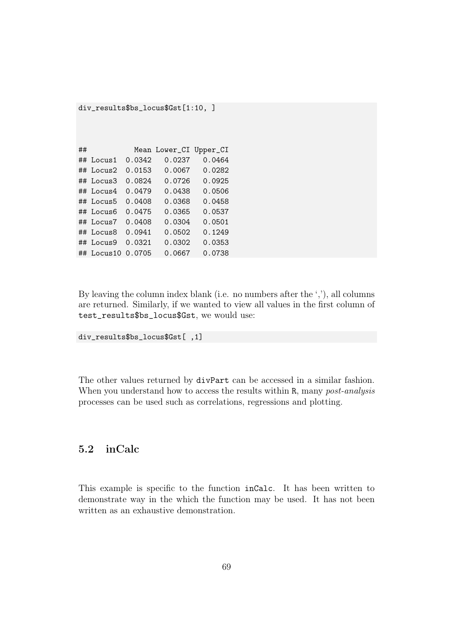| $div\_results$ \$bs_locus\$ $Gst[1:10, ]$ |                  |        |               |          |  |  |  |
|-------------------------------------------|------------------|--------|---------------|----------|--|--|--|
|                                           |                  |        |               |          |  |  |  |
|                                           |                  |        |               |          |  |  |  |
| ##                                        |                  |        | Mean Lower_CI | Upper_CI |  |  |  |
|                                           | $\#$ # Locus1    | 0.0342 | 0.0237        | 0.0464   |  |  |  |
|                                           | $\#$ # Locus2    | 0.0153 | 0.0067        | 0.0282   |  |  |  |
|                                           | $\#$ # Locus3    | 0.0824 | 0.0726        | 0.0925   |  |  |  |
|                                           | ## Locus4        | 0.0479 | 0.0438        | 0.0506   |  |  |  |
|                                           | ## Locus5        | 0.0408 | 0.0368        | 0.0458   |  |  |  |
|                                           | $\#$ # Locus6    | 0.0475 | 0.0365        | 0.0537   |  |  |  |
|                                           | $\#$ # Locus $7$ | 0.0408 | 0.0304        | 0.0501   |  |  |  |
|                                           | ## Locus8        | 0.0941 | 0.0502        | 0.1249   |  |  |  |
|                                           | $\#$ # Locus9    | 0.0321 | 0.0302        | 0.0353   |  |  |  |
| ##                                        | Locus10          | 0.0705 | 0.0667        | 0.0738   |  |  |  |

By leaving the column index blank (i.e. no numbers after the ','), all columns are returned. Similarly, if we wanted to view all values in the first column of test\_results\$bs\_locus\$Gst, we would use:

```
div_results$bs_locus$Gst[ ,1]
```
The other values returned by divPart can be accessed in a similar fashion. When you understand how to access the results within R, many *post-analysis* processes can be used such as correlations, regressions and plotting.

## 5.2 inCalc

This example is specific to the function inCalc. It has been written to demonstrate way in the which the function may be used. It has not been written as an exhaustive demonstration.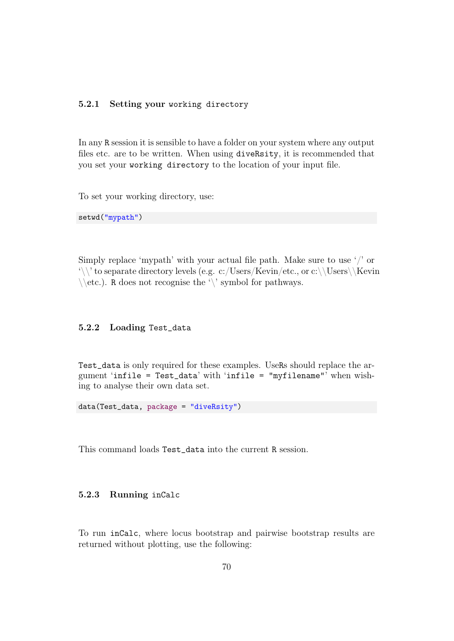#### 5.2.1 Setting your working directory

In any R session it is sensible to have a folder on your system where any output files etc. are to be written. When using diveRsity, it is recommended that you set your working directory to the location of your input file.

To set your working directory, use:

setwd("mypath")

Simply replace 'mypath' with your actual file path. Make sure to use '/' or  $\setminus \setminus$ ' to separate directory levels (e.g. c:/Users/Kevin/etc., or c:\\Users\\Kevin  $\setminus$ etc.). R does not recognise the ' $\setminus$ ' symbol for pathways.

#### 5.2.2 Loading Test\_data

Test\_data is only required for these examples. UseRs should replace the argument 'infile = Test\_data' with 'infile = "myfilename"' when wishing to analyse their own data set.

data(Test\_data, package = "diveRsity")

This command loads Test\_data into the current R session.

#### 5.2.3 Running inCalc

To run inCalc, where locus bootstrap and pairwise bootstrap results are returned without plotting, use the following: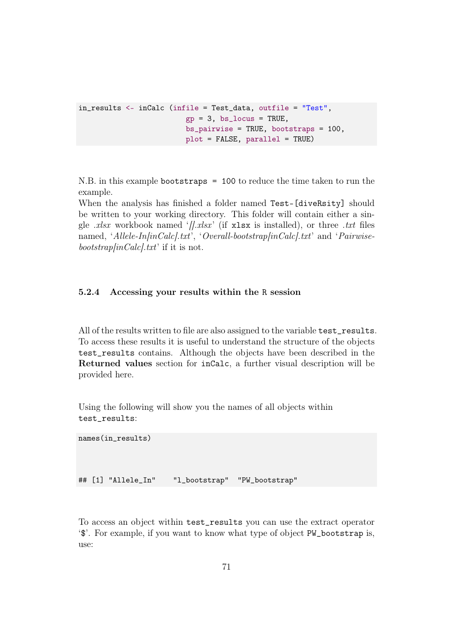```
in_results <- inCalc (infile = Test_data, outfile = "Test",
                         gp = 3, bs\_locus = TRUE,
                         bs_pairwise = TRUE, bootstraps = 100,
                         plot = FALSE, parallel = TRUE)
```
N.B. in this example bootstraps = 100 to reduce the time taken to run the example.

When the analysis has finished a folder named Test-[diveRsity] should be written to your working directory. This folder will contain either a single *.xlsx* workbook named '*[].xlsx* ' (if xlsx is installed), or three *.txt* files named, '*Allele-In[inCalc].txt*', '*Overall-bootstrap[inCalc].txt*' and '*Pairwisebootstrap[inCalc].txt*' if it is not.

### 5.2.4 Accessing your results within the R session

All of the results written to file are also assigned to the variable test\_results. To access these results it is useful to understand the structure of the objects test\_results contains. Although the objects have been described in the Returned values section for inCalc, a further visual description will be provided here.

Using the following will show you the names of all objects within test\_results:

```
names(in_results)
## [1] "Allele_In" "l_bootstrap" "PW_bootstrap"
```
To access an object within test\_results you can use the extract operator '\$'. For example, if you want to know what type of object PW\_bootstrap is, use: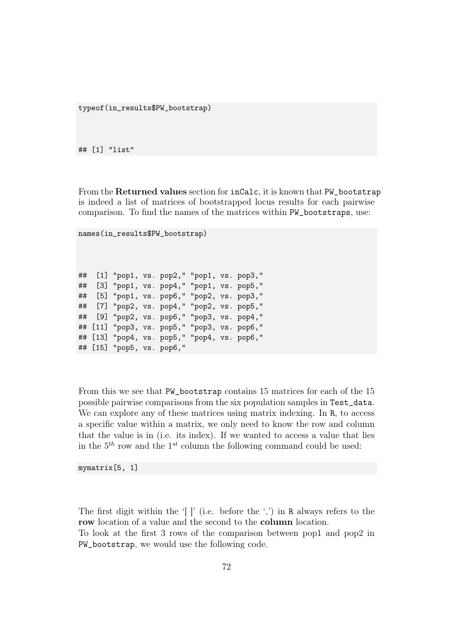typeof(in\_results\$PW\_bootstrap)

## [1] "list"

From the **Returned values** section for  $incalc$ , it is known that PW\_bootstrap is indeed a list of matrices of bootstrapped locus results for each pairwise comparison. To find the names of the matrices within PW\_bootstraps, use:

```
names(in_results$PW_bootstrap)
```
## [1] "pop1, vs. pop2," "pop1, vs. pop3," ## [3] "pop1, vs. pop4," "pop1, vs. pop5," ## [5] "pop1, vs. pop6," "pop2, vs. pop3," ## [7] "pop2, vs. pop4," "pop2, vs. pop5," ## [9] "pop2, vs. pop6," "pop3, vs. pop4," ## [11] "pop3, vs. pop5," "pop3, vs. pop6," ## [13] "pop4, vs. pop5," "pop4, vs. pop6," ## [15] "pop5, vs. pop6,"

From this we see that PW\_bootstrap contains 15 matrices for each of the 15 possible pairwise comparisons from the six population samples in Test\_data. We can explore any of these matrices using matrix indexing. In R, to access a specific value within a matrix, we only need to know the row and column that the value is in (i.e. its index). If we wanted to access a value that lies in the  $5<sup>th</sup>$  row and the  $1<sup>st</sup>$  column the following command could be used:

mymatrix[5, 1]

The first digit within the '[ ]' (i.e. before the ',') in R always refers to the row location of a value and the second to the **column** location.

To look at the first 3 rows of the comparison between pop1 and pop2 in PW\_bootstrap, we would use the following code.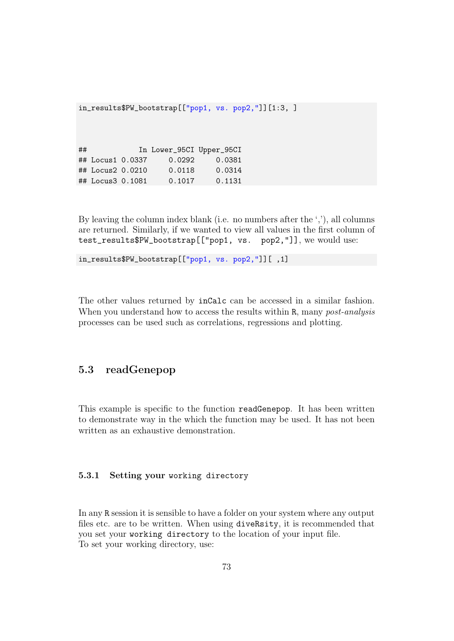in\_results\$PW\_bootstrap[["pop1, vs. pop2,"]][1:3, ]

## In Lower\_95CI Upper\_95CI ## Locus1 0.0337 0.0292 0.0381 ## Locus2 0.0210 0.0118 0.0314 ## Locus3 0.1081 0.1017 0.1131

By leaving the column index blank (i.e. no numbers after the ','), all columns are returned. Similarly, if we wanted to view all values in the first column of test\_results\$PW\_bootstrap[["pop1, vs. pop2,"]], we would use:

```
in_results$PW_bootstrap[["pop1, vs. pop2,"]][ ,1]
```
The other values returned by inCalc can be accessed in a similar fashion. When you understand how to access the results within R, many *post-analysis* processes can be used such as correlations, regressions and plotting.

## 5.3 readGenepop

This example is specific to the function readGenepop. It has been written to demonstrate way in the which the function may be used. It has not been written as an exhaustive demonstration.

#### 5.3.1 Setting your working directory

In any R session it is sensible to have a folder on your system where any output files etc. are to be written. When using diveRsity, it is recommended that you set your working directory to the location of your input file. To set your working directory, use: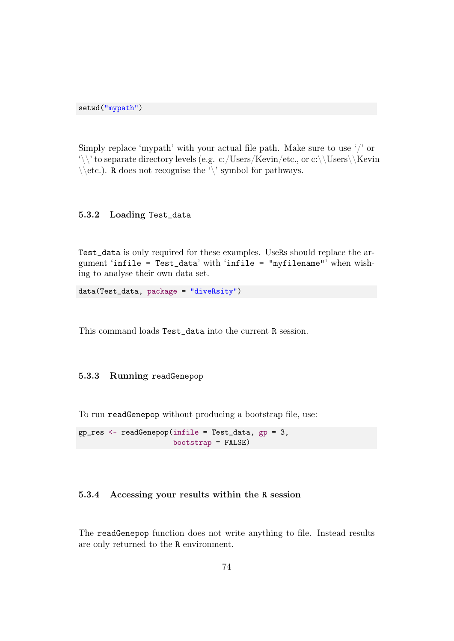setwd("mypath")

Simply replace 'mypath' with your actual file path. Make sure to use '/' or  $\setminus \setminus$  to separate directory levels (e.g. c:/Users/Kevin/etc., or c:\\Users\\Kevin  $\setminus$ etc.). R does not recognise the ' $\setminus$ ' symbol for pathways.

## 5.3.2 Loading Test\_data

Test\_data is only required for these examples. UseRs should replace the argument 'infile = Test\_data' with 'infile = "myfilename"' when wishing to analyse their own data set.

data(Test\_data, package = "diveRsity")

This command loads Test\_data into the current R session.

#### 5.3.3 Running readGenepop

To run readGenepop without producing a bootstrap file, use:

gp\_res <- readGenepop(infile = Test\_data, gp = 3, bootstrap = FALSE)

#### 5.3.4 Accessing your results within the R session

The readGenepop function does not write anything to file. Instead results are only returned to the R environment.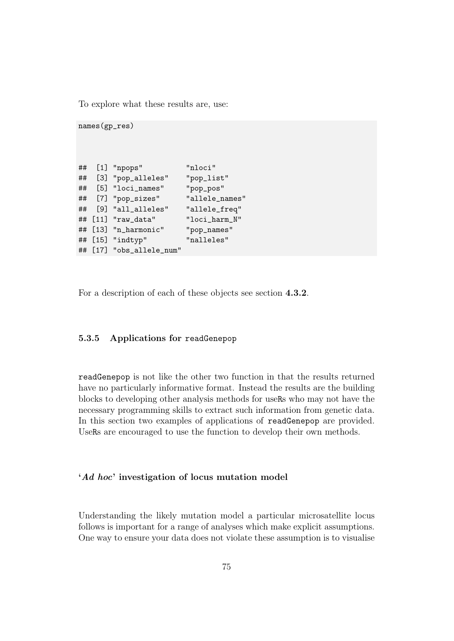To explore what these results are, use:

```
names(gp_res)
## [1] "npops" "nloci"
## [3] "pop_alleles" "pop_list"
## [5] "loci_names" "pop_pos"
## [7] "pop_sizes" "allele_names"
## [9] "all_alleles" "allele_freq"
## [11] "raw_data" "loci_harm_N"
## [13] "n_harmonic" "pop_names"
## [15] "indtyp" "nalleles"
## [17] "obs_allele_num"
```
For a description of each of these objects see section 4.3.2.

## 5.3.5 Applications for readGenepop

readGenepop is not like the other two function in that the results returned have no particularly informative format. Instead the results are the building blocks to developing other analysis methods for useRs who may not have the necessary programming skills to extract such information from genetic data. In this section two examples of applications of readGenepop are provided. UseRs are encouraged to use the function to develop their own methods.

#### 'Ad hoc' investigation of locus mutation model

Understanding the likely mutation model a particular microsatellite locus follows is important for a range of analyses which make explicit assumptions. One way to ensure your data does not violate these assumption is to visualise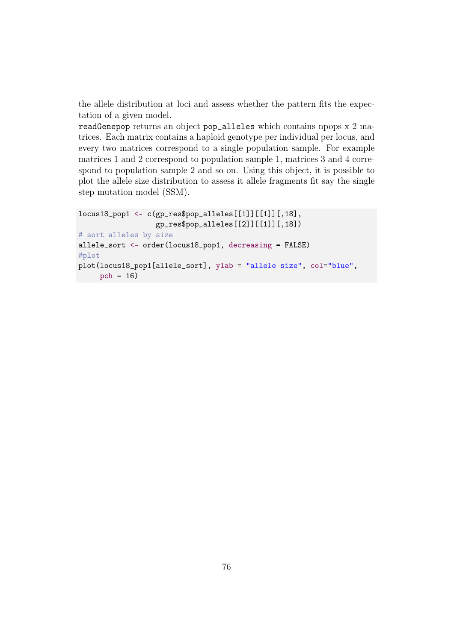the allele distribution at loci and assess whether the pattern fits the expectation of a given model.

readGenepop returns an object pop\_alleles which contains npops x 2 matrices. Each matrix contains a haploid genotype per individual per locus, and every two matrices correspond to a single population sample. For example matrices 1 and 2 correspond to population sample 1, matrices 3 and 4 correspond to population sample 2 and so on. Using this object, it is possible to plot the allele size distribution to assess it allele fragments fit say the single step mutation model (SSM).

```
locus18_pop1 <- c(gp_res$pop_alleles[[1]][[1]][,18],
                  gp_res$pop_alleles[[2]][[1]][,18])
# sort alleles by size
allele_sort <- order(locus18_pop1, decreasing = FALSE)
#plot
plot(locus18_pop1[allele_sort], ylab = "allele size", col="blue",
     pch = 16)
```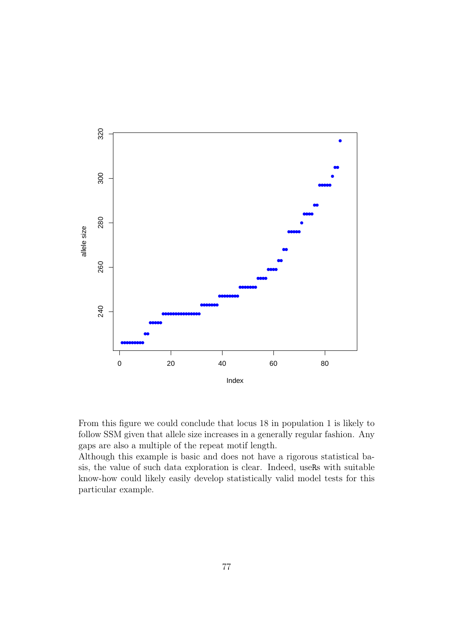

From this figure we could conclude that locus 18 in population 1 is likely to follow SSM given that allele size increases in a generally regular fashion. Any gaps are also a multiple of the repeat motif length.

Although this example is basic and does not have a rigorous statistical basis, the value of such data exploration is clear. Indeed, useRs with suitable know-how could likely easily develop statistically valid model tests for this particular example.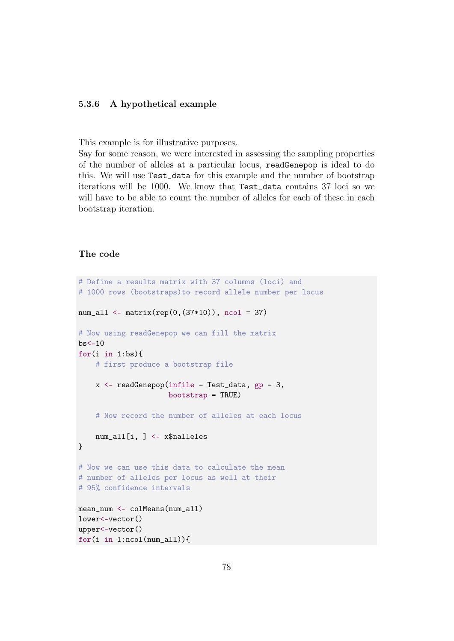### 5.3.6 A hypothetical example

This example is for illustrative purposes.

Say for some reason, we were interested in assessing the sampling properties of the number of alleles at a particular locus, readGenepop is ideal to do this. We will use Test\_data for this example and the number of bootstrap iterations will be 1000. We know that Test\_data contains 37 loci so we will have to be able to count the number of alleles for each of these in each bootstrap iteration.

## The code

```
# Define a results matrix with 37 columns (loci) and
# 1000 rows (bootstraps)to record allele number per locus
num_all <- matrix(rep(0,(37*10)), ncol = 37)
# Now using readGenepop we can fill the matrix
bs < -10for(i in 1:bs){
    # first produce a bootstrap file
    x <- readGenepop(infile = Test_data, gp = 3,
                     bootstrap = TRUE)
    # Now record the number of alleles at each locus
    num_all[i, ] <- x$nalleles
}
# Now we can use this data to calculate the mean
# number of alleles per locus as well at their
# 95% confidence intervals
mean_num <- colMeans(num_all)
lower<-vector()
upper<-vector()
for(i in 1:ncol(num_all)){
```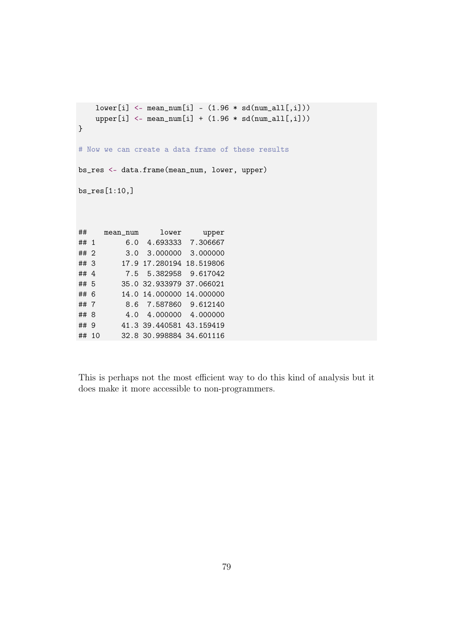```
lower[i] < - mean_number[i] - (1.96 * sd(num_all[,i]))upper[i] < - mean_number[i] + (1.96 * sd(num_all[,i]))}
# Now we can create a data frame of these results
bs_res <- data.frame(mean_num, lower, upper)
bs_res[1:10,]
## mean_num lower upper
## 1 6.0 4.693333 7.306667
## 2 3.0 3.000000 3.000000
## 3 17.9 17.280194 18.519806
## 4 7.5 5.382958 9.617042
## 5 35.0 32.933979 37.066021
## 6 14.0 14.000000 14.000000
## 7 8.6 7.587860 9.612140
## 8 4.0 4.000000 4.000000
## 9 41.3 39.440581 43.159419
## 10 32.8 30.998884 34.601116
```
This is perhaps not the most efficient way to do this kind of analysis but it does make it more accessible to non-programmers.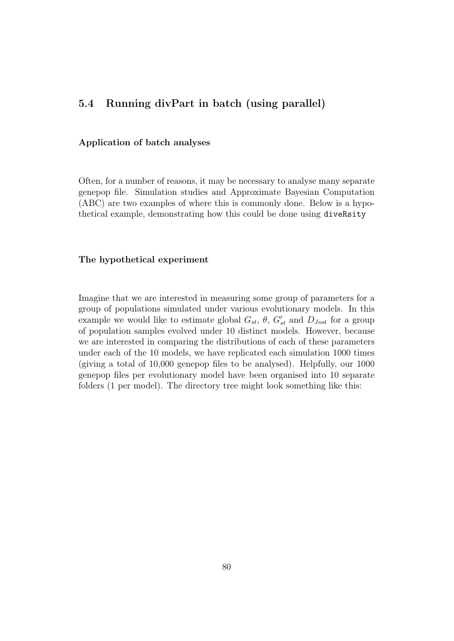## 5.4 Running divPart in batch (using parallel)

#### Application of batch analyses

Often, for a number of reasons, it may be necessary to analyse many separate genepop file. Simulation studies and Approximate Bayesian Computation (ABC) are two examples of where this is commonly done. Below is a hypothetical example, demonstrating how this could be done using diveRsity

#### The hypothetical experiment

Imagine that we are interested in measuring some group of parameters for a group of populations simulated under various evolutionary models. In this example we would like to estimate global  $G_{st}$ ,  $\theta$ ,  $G'_{st}$  and  $D_{Jost}$  for a group of population samples evolved under 10 distinct models. However, because we are interested in comparing the distributions of each of these parameters under each of the 10 models, we have replicated each simulation 1000 times (giving a total of 10,000 genepop files to be analysed). Helpfully, our 1000 genepop files per evolutionary model have been organised into 10 separate folders (1 per model). The directory tree might look something like this: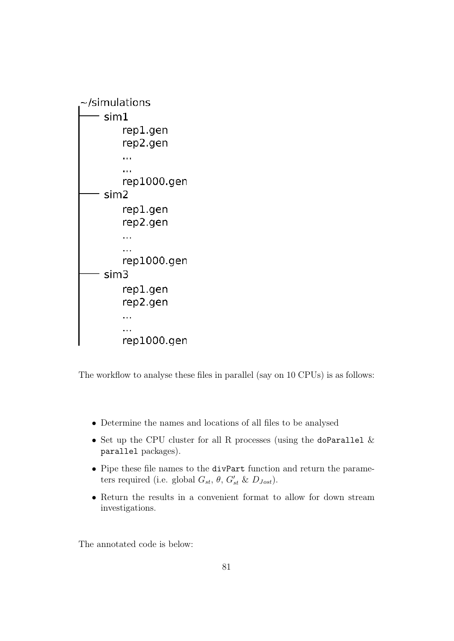

The workflow to analyse these files in parallel (say on 10 CPUs) is as follows:

- Determine the names and locations of all files to be analysed
- Set up the CPU cluster for all R processes (using the doParallel  $\&$ parallel packages).
- Pipe these file names to the divPart function and return the parameters required (i.e. global  $G_{st}$ ,  $\theta$ ,  $G'_{st}$  &  $D_{Jost}$ ).
- Return the results in a convenient format to allow for down stream investigations.

The annotated code is below: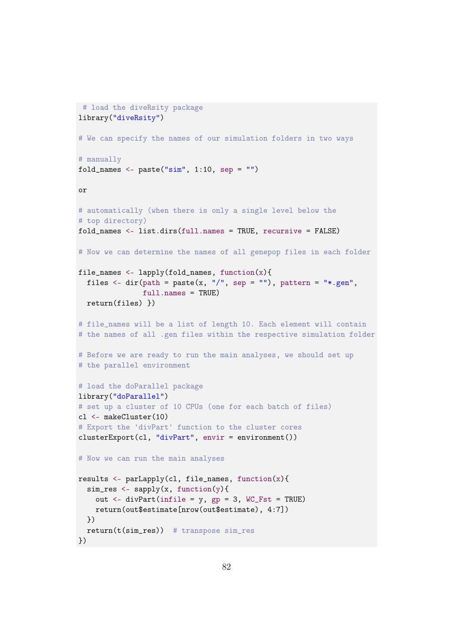```
# load the diveRsity package
library("diveRsity")
# We can specify the names of our simulation folders in two ways
# manually
fold_names <- paste("\sin", 1:10, sep = "")
or
# automatically (when there is only a single level below the
# top directory)
fold_names <- list.dirs(full.names = TRUE, recursive = FALSE)
# Now we can determine the names of all genepop files in each folder
file_names <- lapply(fold_names, function(x){
  files \le dir(path = paste(x, "/", sep = ""), pattern = "*.gen",
               full.names = TRUE)
  return(files) })
# file_names will be a list of length 10. Each element will contain
# the names of all .gen files within the respective simulation folder
# Before we are ready to run the main analyses, we should set up
# the parallel environment
# load the doParallel package
library("doParallel")
# set up a cluster of 10 CPUs (one for each batch of files)
cl <- makeCluster(10)
# Export the 'divPart' function to the cluster cores
clusterExport(cl, "divPart", envir = environment())
# Now we can run the main analyses
results \leq parLapply(cl, file_names, function(x){
  sim\_res <- sapply(x, function(y))out \leq divPart(infile = y, gp = 3, WC_Fst = TRUE)
    return(out$estimate[nrow(out$estimate), 4:7])
  })
  return(t(sim_res)) # transpose sim_res
})
```

```
82
```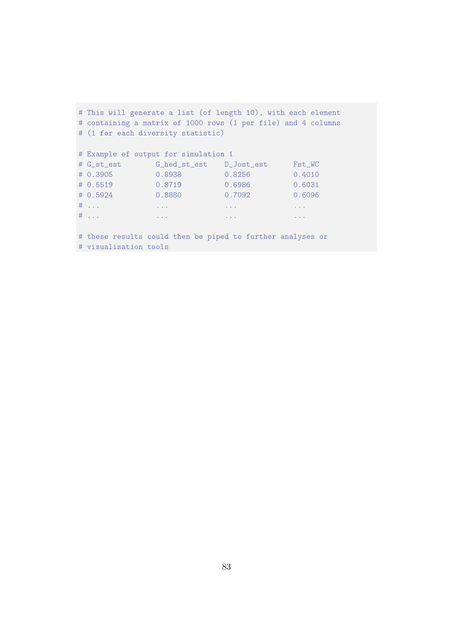| # This will generate a list (of length 10), with each element |                                                      |                                |                            |
|---------------------------------------------------------------|------------------------------------------------------|--------------------------------|----------------------------|
| # containing a matrix of 1000 rows (1 per file) and 4 columns |                                                      |                                |                            |
| # (1 for each diversity statistic)                            |                                                      |                                |                            |
|                                                               |                                                      |                                |                            |
| # Example of output for simulation 1                          |                                                      |                                |                            |
|                                                               |                                                      |                                | Fst_WC                     |
| # 0.3905                                                      | 0.8938                                               | 0.8256                         | 0.4010                     |
| # 0.5519                                                      | 0.8719                                               | 0.6986                         | 0.6031                     |
| # 0.5924                                                      | 0.8880                                               | 0.7092                         | 0.6096                     |
| $\#$                                                          | $\mathbf{u}=\mathbf{u}+\mathbf{u}$ .                 | $\alpha$ , $\alpha$ , $\alpha$ | $\alpha = \alpha - \alpha$ |
| $\#$                                                          | <b>Contractor</b><br><b>Contract Contract Avenue</b> |                                | $\alpha = \alpha = \alpha$ |
|                                                               |                                                      |                                |                            |

# these results could then be piped to further analyses or # visualisation tools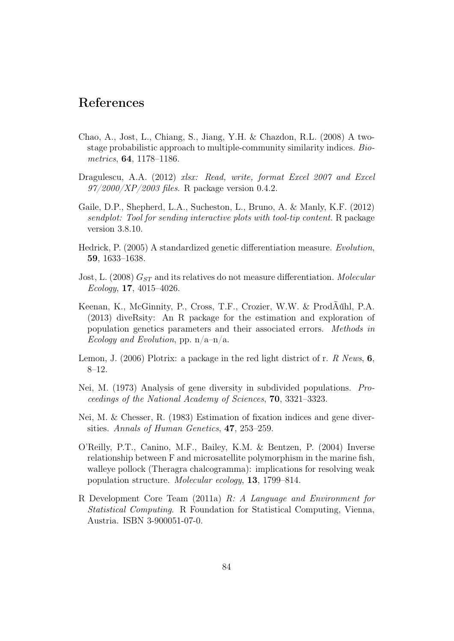## References

- Chao, A., Jost, L., Chiang, S., Jiang, Y.H. & Chazdon, R.L. (2008) A twostage probabilistic approach to multiple-community similarity indices. *Biometrics*, 64, 1178–1186.
- Dragulescu, A.A. (2012) *xlsx: Read, write, format Excel 2007 and Excel 97/2000/XP/2003 files*. R package version 0.4.2.
- Gaile, D.P., Shepherd, L.A., Sucheston, L., Bruno, A. & Manly, K.F. (2012) *sendplot: Tool for sending interactive plots with tool-tip content.* R package version 3.8.10.
- Hedrick, P. (2005) A standardized genetic differentiation measure. *Evolution*, 59, 1633–1638.
- Jost, L. (2008)  $G_{ST}$  and its relatives do not measure differentiation. *Molecular Ecology*, 17, 4015–4026.
- Keenan, K., McGinnity, P., Cross, T.F., Crozier, W.W. & ProdÃűhl, P.A. (2013) diveRsity: An R package for the estimation and exploration of population genetics parameters and their associated errors. *Methods in Ecology and Evolution*, pp. n/a–n/a.
- Lemon, J. (2006) Plotrix: a package in the red light district of r. *R News*, 6, 8–12.
- Nei, M. (1973) Analysis of gene diversity in subdivided populations. *Proceedings of the National Academy of Sciences*, 70, 3321–3323.
- Nei, M. & Chesser, R. (1983) Estimation of fixation indices and gene diversities. *Annals of Human Genetics*, 47, 253–259.
- O'Reilly, P.T., Canino, M.F., Bailey, K.M. & Bentzen, P. (2004) Inverse relationship between F and microsatellite polymorphism in the marine fish, walleye pollock (Theragra chalcogramma): implications for resolving weak population structure. *Molecular ecology*, 13, 1799–814.
- R Development Core Team (2011a) *R: A Language and Environment for Statistical Computing*. R Foundation for Statistical Computing, Vienna, Austria. ISBN 3-900051-07-0.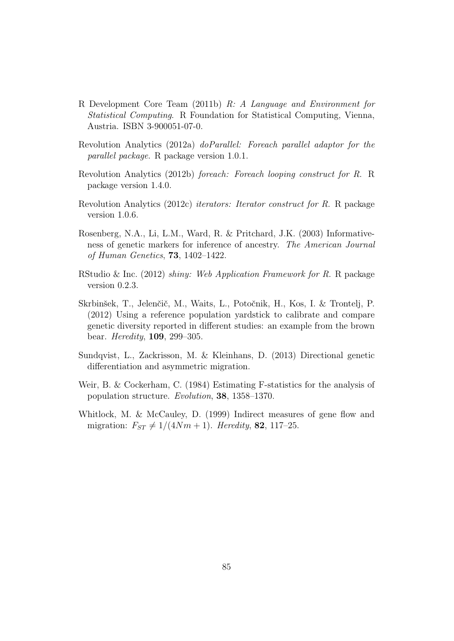- R Development Core Team (2011b) *R: A Language and Environment for Statistical Computing*. R Foundation for Statistical Computing, Vienna, Austria. ISBN 3-900051-07-0.
- Revolution Analytics (2012a) *doParallel: Foreach parallel adaptor for the parallel package*. R package version 1.0.1.
- Revolution Analytics (2012b) *foreach: Foreach looping construct for R*. R package version 1.4.0.
- Revolution Analytics (2012c) *iterators: Iterator construct for R*. R package version 1.0.6.
- Rosenberg, N.A., Li, L.M., Ward, R. & Pritchard, J.K. (2003) Informativeness of genetic markers for inference of ancestry. *The American Journal of Human Genetics*, 73, 1402–1422.
- RStudio & Inc. (2012) *shiny: Web Application Framework for R*. R package version 0.2.3.
- Skrbinšek, T., Jelenčič, M., Waits, L., Potočnik, H., Kos, I. & Trontelj, P. (2012) Using a reference population yardstick to calibrate and compare genetic diversity reported in different studies: an example from the brown bear. *Heredity*, 109, 299–305.
- Sundqvist, L., Zackrisson, M. & Kleinhans, D. (2013) Directional genetic differentiation and asymmetric migration.
- Weir, B. & Cockerham, C. (1984) Estimating F-statistics for the analysis of population structure. *Evolution*, 38, 1358–1370.
- Whitlock, M. & McCauley, D. (1999) Indirect measures of gene flow and migration:  $F_{ST} \neq 1/(4Nm + 1)$ . *Heredity*, **82**, 117–25.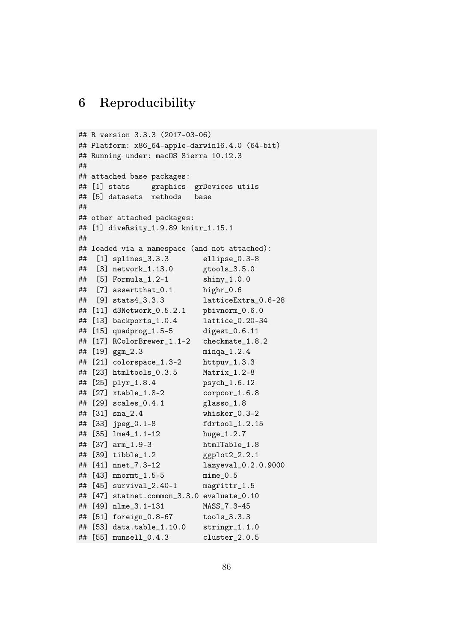# 6 Reproducibility

```
## R version 3.3.3 (2017-03-06)
## Platform: x86_64-apple-darwin16.4.0 (64-bit)
## Running under: macOS Sierra 10.12.3
##
## attached base packages:
## [1] stats graphics grDevices utils
## [5] datasets methods base
##
## other attached packages:
## [1] diveRsity_1.9.89 knitr_1.15.1
##
## loaded via a namespace (and not attached):
## [1] splines_3.3.3 ellipse_0.3-8
## [3] network_1.13.0 gtools_3.5.0
## [5] Formula_1.2-1 shiny_1.0.0
## [7] assertthat_0.1 highr_0.6
## [9] stats4_3.3.3 latticeExtra_0.6-28
## [11] d3Network_0.5.2.1 pbivnorm_0.6.0
## [13] backports_1.0.4 lattice_0.20-34
## [15] quadprog_1.5-5 digest_0.6.11
## [17] RColorBrewer_1.1-2 checkmate_1.8.2
## [19] ggm_2.3 minqa_1.2.4
## [21] colorspace_1.3-2 httpuv_1.3.3
## [23] htmltools_0.3.5 Matrix_1.2-8
## [25] plyr_1.8.4 psych_1.6.12
## [27] xtable_1.8-2 corpcor_1.6.8
## [29] scales_0.4.1 glasso_1.8
## [31] sna_2.4 whisker_0.3-2
## [33] jpeg_0.1-8 fdrtool_1.2.15
## [35] lme4_1.1-12 huge_1.2.7
## [37] arm_1.9-3 htmlTable_1.8
## [39] tibble_1.2 ggplot2_2.2.1
## [41] nnet_7.3-12 lazyeval_0.2.0.9000
## [43] mnormt_1.5-5 mime_0.5
## [45] survival_2.40-1 magrittr_1.5
## [47] statnet.common_3.3.0 evaluate_0.10
## [49] nlme_3.1-131 MASS_7.3-45
## [51] foreign_0.8-67 tools_3.3.3
## [53] data.table_1.10.0 stringr_1.1.0
## [55] munsell_0.4.3 cluster_2.0.5
```